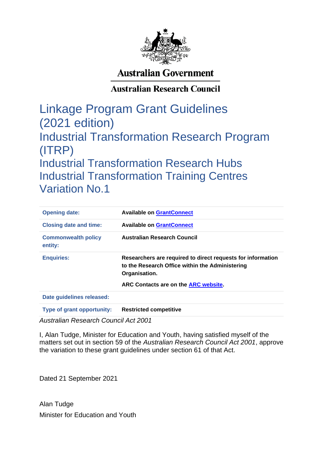

# **Australian Government**

# **Australian Research Council**

Linkage Program Grant Guidelines (2021 edition) Industrial Transformation Research Program (ITRP) Industrial Transformation Research Hubs Industrial Transformation Training Centres Variation No.1

| <b>Opening date:</b>                  | <b>Available on GrantConnect</b>                                                                                                |
|---------------------------------------|---------------------------------------------------------------------------------------------------------------------------------|
| <b>Closing date and time:</b>         | <b>Available on GrantConnect</b>                                                                                                |
| <b>Commonwealth policy</b><br>entity: | <b>Australian Research Council</b>                                                                                              |
| <b>Enquiries:</b>                     | Researchers are required to direct requests for information<br>to the Research Office within the Administering<br>Organisation. |
|                                       | ARC Contacts are on the ARC website.                                                                                            |
| Date guidelines released:             |                                                                                                                                 |
| <b>Type of grant opportunity:</b>     | <b>Restricted competitive</b>                                                                                                   |

*Australian Research Council Act 2001*

I, Alan Tudge, Minister for Education and Youth, having satisfied myself of the matters set out in section 59 of the *Australian Research Council Act 2001*, approve the variation to these grant guidelines under section 61 of that Act.

Dated 21 September 2021

Alan Tudge Minister for Education and Youth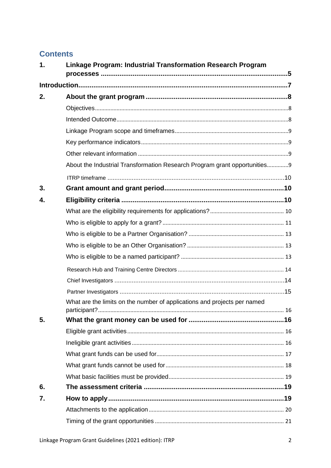# **Contents**

| 1. | Linkage Program: Industrial Transformation Research Program               |  |
|----|---------------------------------------------------------------------------|--|
|    |                                                                           |  |
| 2. |                                                                           |  |
|    |                                                                           |  |
|    |                                                                           |  |
|    |                                                                           |  |
|    |                                                                           |  |
|    |                                                                           |  |
|    | About the Industrial Transformation Research Program grant opportunities9 |  |
|    |                                                                           |  |
| 3. |                                                                           |  |
| 4. |                                                                           |  |
|    |                                                                           |  |
|    |                                                                           |  |
|    |                                                                           |  |
|    |                                                                           |  |
|    |                                                                           |  |
|    |                                                                           |  |
|    |                                                                           |  |
|    |                                                                           |  |
|    | What are the limits on the number of applications and projects per named  |  |
| 5. |                                                                           |  |
|    |                                                                           |  |
|    |                                                                           |  |
|    |                                                                           |  |
|    |                                                                           |  |
|    |                                                                           |  |
| 6. |                                                                           |  |
| 7. |                                                                           |  |
|    |                                                                           |  |
|    |                                                                           |  |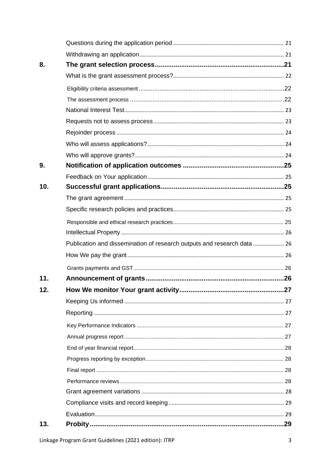| 13. |                                                                         |  |
|-----|-------------------------------------------------------------------------|--|
|     |                                                                         |  |
|     |                                                                         |  |
|     |                                                                         |  |
|     |                                                                         |  |
|     |                                                                         |  |
|     |                                                                         |  |
|     |                                                                         |  |
|     |                                                                         |  |
|     |                                                                         |  |
|     |                                                                         |  |
|     |                                                                         |  |
| 12. |                                                                         |  |
| 11. |                                                                         |  |
|     |                                                                         |  |
|     |                                                                         |  |
|     | Publication and dissemination of research outputs and research data  26 |  |
|     |                                                                         |  |
|     |                                                                         |  |
|     |                                                                         |  |
|     |                                                                         |  |
| 10. |                                                                         |  |
|     |                                                                         |  |
| 9.  |                                                                         |  |
|     |                                                                         |  |
|     |                                                                         |  |
|     |                                                                         |  |
|     |                                                                         |  |
|     |                                                                         |  |
|     |                                                                         |  |
|     |                                                                         |  |
|     |                                                                         |  |
| 8.  |                                                                         |  |
|     |                                                                         |  |
|     |                                                                         |  |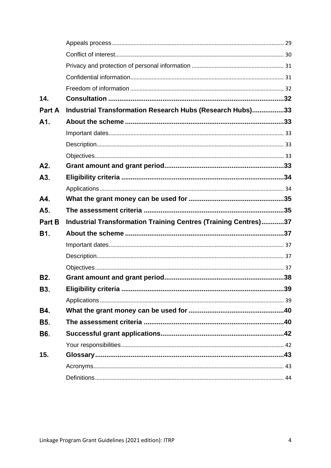| 14.              |                                                                 |  |
|------------------|-----------------------------------------------------------------|--|
| Part A           | Industrial Transformation Research Hubs (Research Hubs)33       |  |
| A1.              |                                                                 |  |
|                  |                                                                 |  |
|                  |                                                                 |  |
|                  |                                                                 |  |
| A2.              |                                                                 |  |
| A <sub>3</sub> . |                                                                 |  |
|                  |                                                                 |  |
| A4.              |                                                                 |  |
| A5.              |                                                                 |  |
|                  |                                                                 |  |
| Part B           | Industrial Transformation Training Centres (Training Centres)37 |  |
| <b>B1.</b>       |                                                                 |  |
|                  |                                                                 |  |
|                  |                                                                 |  |
|                  |                                                                 |  |
| <b>B2.</b>       |                                                                 |  |
| B3.              |                                                                 |  |
|                  |                                                                 |  |
| <b>B4.</b>       |                                                                 |  |
| <b>B5.</b>       |                                                                 |  |
| <b>B6.</b>       |                                                                 |  |
|                  |                                                                 |  |
| 15.              |                                                                 |  |
|                  |                                                                 |  |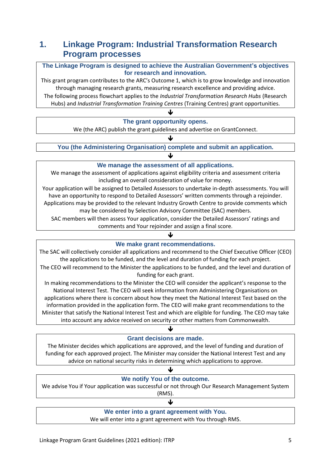# <span id="page-4-0"></span>**1. Linkage Program: Industrial Transformation Research Program processes**

**The Linkage Program is designed to achieve the Australian Government's objectives for research and innovation.**

This grant program contributes to the ARC's Outcome 1, which is to grow knowledge and innovation through managing research grants, measuring research excellence and providing advice. The following process flowchart applies to the *Industrial Transformation Research Hubs* (Research Hubs) and *Industrial Transformation Training Centres* (Training Centres) grant opportunities.

# **The grant opportunity opens.**

J

We (the ARC) publish the grant guidelines and advertise on GrantConnect.

**You (the Administering Organisation) complete and submit an application.**

 $\blacklozenge$ 

 $\blacklozenge$ 

## **We manage the assessment of all applications.**

We manage the assessment of applications against eligibility criteria and assessment criteria including an overall consideration of value for money.

Your application will be assigned to Detailed Assessors to undertake in-depth assessments. You will have an opportunity to respond to Detailed Assessors' written comments through a rejoinder. Applications may be provided to the relevant Industry Growth Centre to provide comments which may be considered by Selection Advisory Committee (SAC) members.

SAC members will then assess Your application, consider the Detailed Assessors' ratings and comments and Your rejoinder and assign a final score.

## **We make grant recommendations.**

↓

The SAC will collectively consider all applications and recommend to the Chief Executive Officer (CEO) the applications to be funded, and the level and duration of funding for each project.

The CEO will recommend to the Minister the applications to be funded, and the level and duration of funding for each grant.

In making recommendations to the Minister the CEO will consider the applicant's response to the National Interest Test. The CEO will seek information from Administering Organisations on applications where there is concern about how they meet the National Interest Test based on the information provided in the application form. The CEO will make grant recommendations to the Minister that satisfy the National Interest Test and which are eligible for funding. The CEO may take into account any advice received on security or other matters from Commonwealth.

↓

## **Grant decisions are made.**

The Minister decides which applications are approved, and the level of funding and duration of funding for each approved project. The Minister may consider the National Interest Test and any advice on national security risks in determining which applications to approve.

## $\blacklozenge$ **We notify You of the outcome.** We advise You if Your application was successful or not through Our Research Management System (RMS).

## **We enter into a grant agreement with You.**

↓

We will enter into a grant agreement with You through RMS.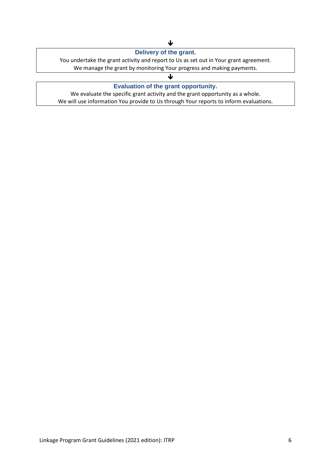## **Delivery of the grant.**

You undertake the grant activity and report to Us as set out in Your grant agreement.

We manage the grant by monitoring Your progress and making payments.

## $\mathbf{L}$ **Evaluation of the grant opportunity.**

We evaluate the specific grant activity and the grant opportunity as a whole. We will use information You provide to Us through Your reports to inform evaluations.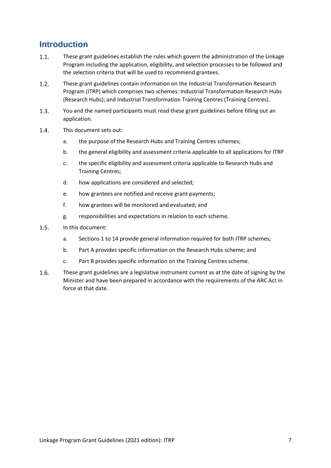# <span id="page-6-0"></span>**Introduction**

- $1.1.$ These grant guidelines establish the rules which govern the administration of the Linkage Program including the application, eligibility, and selection processes to be followed and the selection criteria that will be used to recommend grantees.
- $1.2.$ These grant guidelines contain information on the Industrial Transformation Research Program (ITRP) which comprises two schemes: Industrial Transformation Research Hubs (Research Hubs); and Industrial Transformation Training Centres (Training Centres).
- $1.3.$ You and the named participants must read these grant guidelines before filling out an application.
- $1.4.$ This document sets out:
	- a. the purpose of the Research Hubs and Training Centres schemes;
	- b. the general eligibility and assessment criteria applicable to all applications for ITRP
	- c. the specific eligibility and assessment criteria applicable to Research Hubs and Training Centres;
	- d. how applications are considered and selected;
	- e. how grantees are notified and receive grant payments;
	- f. how grantees will be monitored and evaluated; and
	- g. responsibilities and expectations in relation to each scheme.
- $1.5.$ In this document:
	- a. Sections 1 to 14 provide general information required for both ITRP schemes;
	- b. Part A provides specific information on the Research Hubs scheme; and
	- c. Part B provides specific information on the Training Centres scheme.
- $1.6.$ These grant guidelines are a legislative instrument current as at the date of signing by the Minister and have been prepared in accordance with the requirements of the ARC Act in force at that date.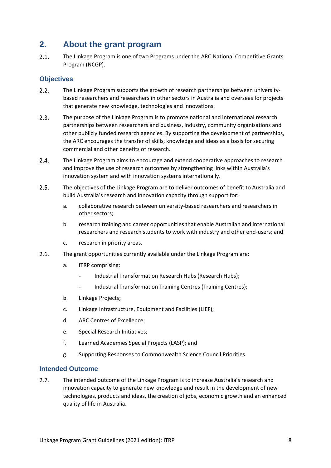# <span id="page-7-0"></span>**2. About the grant program**

 $2.1.$ The Linkage Program is one of two Programs under the ARC National Competitive Grants Program (NCGP).

## <span id="page-7-1"></span>**Objectives**

- $2.2.$ The Linkage Program supports the growth of research partnerships between universitybased researchers and researchers in other sectors in Australia and overseas for projects that generate new knowledge, technologies and innovations.
- $2.3.$ The purpose of the Linkage Program is to promote national and international research partnerships between researchers and business, industry, community organisations and other publicly funded research agencies. By supporting the development of partnerships, the ARC encourages the transfer of skills, knowledge and ideas as a basis for securing commercial and other benefits of research.
- $2.4.$ The Linkage Program aims to encourage and extend cooperative approaches to research and improve the use of research outcomes by strengthening links within Australia's innovation system and with innovation systems internationally.
- $2.5.$ The objectives of the Linkage Program are to deliver outcomes of benefit to Australia and build Australia's research and innovation capacity through support for:
	- a. collaborative research between university-based researchers and researchers in other sectors;
	- b. research training and career opportunities that enable Australian and international researchers and research students to work with industry and other end-users; and
	- c. research in priority areas.
- $2.6.$ The grant opportunities currently available under the Linkage Program are:
	- a. ITRP comprising:
		- Industrial Transformation Research Hubs (Research Hubs);
		- Industrial Transformation Training Centres (Training Centres);
	- b. Linkage Projects;
	- c. Linkage Infrastructure, Equipment and Facilities (LIEF);
	- d. ARC Centres of Excellence;
	- e. Special Research Initiatives;
	- f. Learned Academies Special Projects (LASP); and
	- g. Supporting Responses to Commonwealth Science Council Priorities.

## <span id="page-7-2"></span>**Intended Outcome**

 $2.7.$ The intended outcome of the Linkage Program is to increase Australia's research and innovation capacity to generate new knowledge and result in the development of new technologies, products and ideas, the creation of jobs, economic growth and an enhanced quality of life in Australia.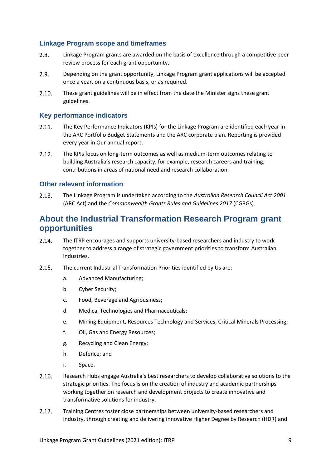## <span id="page-8-0"></span>**Linkage Program scope and timeframes**

- $2.8.$ Linkage Program grants are awarded on the basis of excellence through a competitive peer review process for each grant opportunity.
- $2.9<sub>1</sub>$ Depending on the grant opportunity, Linkage Program grant applications will be accepted once a year, on a continuous basis, or as required.
- $2.10.$ These grant guidelines will be in effect from the date the Minister signs these grant guidelines.

## <span id="page-8-1"></span>**Key performance indicators**

- $2.11.$ The Key Performance Indicators (KPIs) for the Linkage Program are identified each year in the ARC Portfolio Budget Statements and the ARC corporate plan. Reporting is provided every year in Our annual report.
- $2.12.$ The KPIs focus on long-term outcomes as well as medium-term outcomes relating to building Australia's research capacity, for example, research careers and training, contributions in areas of national need and research collaboration.

## <span id="page-8-2"></span>**Other relevant information**

 $2.13.$ The Linkage Program is undertaken according to the *Australian Research Council Act 2001* (ARC Act) and the *Commonwealth Grants Rules and Guidelines 2017* (CGRGs).

# <span id="page-8-3"></span>**About the Industrial Transformation Research Program grant opportunities**

- $2.14.$ The ITRP encourages and supports university-based researchers and industry to work together to address a range of strategic government priorities to transform Australian industries.
- $2.15.$ The current Industrial Transformation Priorities identified by Us are:
	- a. Advanced Manufacturing;
	- b. Cyber Security;
	- c. Food, Beverage and Agribusiness;
	- d. Medical Technologies and Pharmaceuticals;
	- e. Mining Equipment, Resources Technology and Services, Critical Minerals Processing;
	- f. Oil, Gas and Energy Resources;
	- g. Recycling and Clean Energy;
	- h. Defence; and
	- i. Space.
- $2.16.$ Research Hubs engage Australia's best researchers to develop collaborative solutions to the strategic priorities. The focus is on the creation of industry and academic partnerships working together on research and development projects to create innovative and transformative solutions for industry.
- $2.17.$ Training Centres foster close partnerships between university-based researchers and industry, through creating and delivering innovative Higher Degree by Research (HDR) and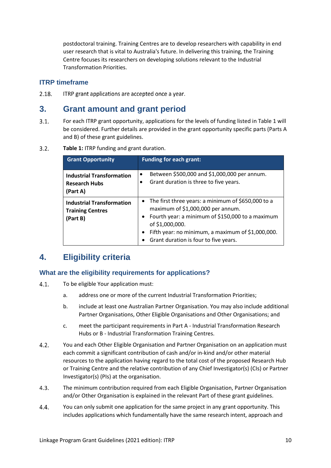postdoctoral training. Training Centres are to develop researchers with capability in end user research that is vital to Australia's future. In delivering this training, the Training Centre focuses its researchers on developing solutions relevant to the Industrial Transformation Priorities.

## <span id="page-9-0"></span>**ITRP timeframe**

 $2.18.$ ITRP grant applications are accepted once a year.

## <span id="page-9-1"></span>**3. Grant amount and grant period**

- $3.1.$ For each ITRP grant opportunity, applications for the levels of funding listed in Table 1 will be considered. Further details are provided in the grant opportunity specific parts (Parts A and B) of these grant guidelines.
- $3.2.$ **Table 1:** ITRP funding and grant duration.

| <b>Grant Opportunity</b>                                                | <b>Funding for each grant:</b>                                                                                                                                                                                                                                 |
|-------------------------------------------------------------------------|----------------------------------------------------------------------------------------------------------------------------------------------------------------------------------------------------------------------------------------------------------------|
| <b>Industrial Transformation</b><br><b>Research Hubs</b><br>(Part A)    | Between \$500,000 and \$1,000,000 per annum.<br>$\bullet$<br>Grant duration is three to five years.<br>٠                                                                                                                                                       |
| <b>Industrial Transformation</b><br><b>Training Centres</b><br>(Part B) | • The first three years: a minimum of \$650,000 to a<br>maximum of \$1,000,000 per annum.<br>Fourth year: a minimum of \$150,000 to a maximum<br>of \$1,000,000.<br>Fifth year: no minimum, a maximum of \$1,000,000.<br>Grant duration is four to five years. |

# <span id="page-9-2"></span>**4. Eligibility criteria**

## <span id="page-9-3"></span>**What are the eligibility requirements for applications?**

- $4.1.$ To be eligible Your application must:
	- a. address one or more of the current Industrial Transformation Priorities;
	- b. include at least one Australian Partner Organisation. You may also include additional Partner Organisations, Other Eligible Organisations and Other Organisations; and
	- c. meet the participant requirements in Part A Industrial Transformation Research Hubs or B - Industrial Transformation Training Centres.
- $4.2.$ You and each Other Eligible Organisation and Partner Organisation on an application must each commit a significant contribution of cash and/or in-kind and/or other material resources to the application having regard to the total cost of the proposed Research Hub or Training Centre and the relative contribution of any Chief Investigator(s) (CIs) or Partner Investigator(s) (PIs) at the organisation.
- $4.3.$ The minimum contribution required from each Eligible Organisation, Partner Organisation and/or Other Organisation is explained in the relevant Part of these grant guidelines.
- $4.4.$ You can only submit one application for the same project in any grant opportunity. This includes applications which fundamentally have the same research intent, approach and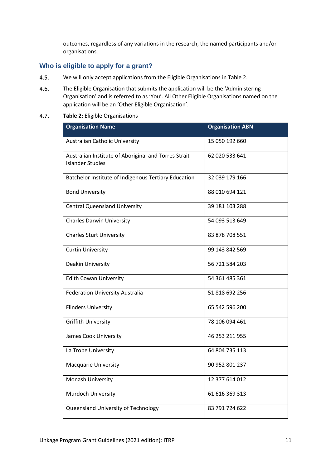outcomes, regardless of any variations in the research, the named participants and/or organisations.

## <span id="page-10-0"></span>**Who is eligible to apply for a grant?**

- $4.5.$ We will only accept applications from the Eligible Organisations in Table 2.
- $4.6.$ The Eligible Organisation that submits the application will be the 'Administering Organisation' and is referred to as 'You'. All Other Eligible Organisations named on the application will be an 'Other Eligible Organisation'.

#### $4.7.$ **Table 2:** Eligible Organisations

| <b>Organisation Name</b>                                                        | <b>Organisation ABN</b> |
|---------------------------------------------------------------------------------|-------------------------|
| <b>Australian Catholic University</b>                                           | 15 050 192 660          |
| Australian Institute of Aboriginal and Torres Strait<br><b>Islander Studies</b> | 62 020 533 641          |
| Batchelor Institute of Indigenous Tertiary Education                            | 32 039 179 166          |
| <b>Bond University</b>                                                          | 88 010 694 121          |
| <b>Central Queensland University</b>                                            | 39 181 103 288          |
| <b>Charles Darwin University</b>                                                | 54 093 513 649          |
| <b>Charles Sturt University</b>                                                 | 83 878 708 551          |
| <b>Curtin University</b>                                                        | 99 143 842 569          |
| Deakin University                                                               | 56 721 584 203          |
| <b>Edith Cowan University</b>                                                   | 54 361 485 361          |
| Federation University Australia                                                 | 51 818 692 256          |
| <b>Flinders University</b>                                                      | 65 542 596 200          |
| <b>Griffith University</b>                                                      | 78 106 094 461          |
| James Cook University                                                           | 46 253 211 955          |
| La Trobe University                                                             | 64 804 735 113          |
| <b>Macquarie University</b>                                                     | 90 952 801 237          |
| Monash University                                                               | 12 377 614 012          |
| Murdoch University                                                              | 61 616 369 313          |
| Queensland University of Technology                                             | 83 791 724 622          |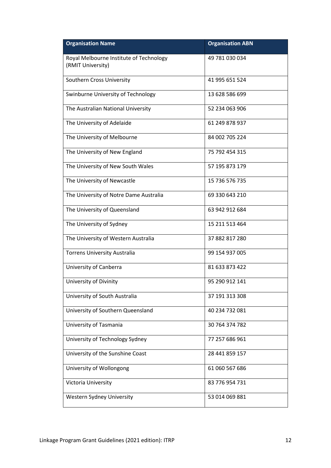| <b>Organisation Name</b>                                     | <b>Organisation ABN</b> |
|--------------------------------------------------------------|-------------------------|
| Royal Melbourne Institute of Technology<br>(RMIT University) | 49 781 030 034          |
| Southern Cross University                                    | 41 995 651 524          |
| Swinburne University of Technology                           | 13 628 586 699          |
| The Australian National University                           | 52 234 063 906          |
| The University of Adelaide                                   | 61 249 878 937          |
| The University of Melbourne                                  | 84 002 705 224          |
| The University of New England                                | 75 792 454 315          |
| The University of New South Wales                            | 57 195 873 179          |
| The University of Newcastle                                  | 15 736 576 735          |
| The University of Notre Dame Australia                       | 69 330 643 210          |
| The University of Queensland                                 | 63 942 912 684          |
| The University of Sydney                                     | 15 211 513 464          |
| The University of Western Australia                          | 37 882 817 280          |
| <b>Torrens University Australia</b>                          | 99 154 937 005          |
| University of Canberra                                       | 81 633 873 422          |
| University of Divinity                                       | 95 290 912 141          |
| University of South Australia                                | 37 191 313 308          |
| University of Southern Queensland                            | 40 234 732 081          |
| University of Tasmania                                       | 30 764 374 782          |
| University of Technology Sydney                              | 77 257 686 961          |
| University of the Sunshine Coast                             | 28 441 859 157          |
| University of Wollongong                                     | 61 060 567 686          |
| Victoria University                                          | 83 776 954 731          |
| Western Sydney University                                    | 53 014 069 881          |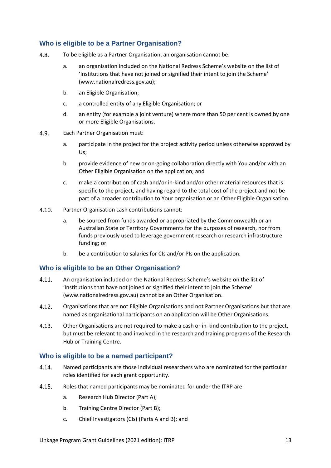## <span id="page-12-0"></span>**Who is eligible to be a Partner Organisation?**

- $4.8.$ To be eligible as a Partner Organisation, an organisation cannot be:
	- a. an organisation included on the National Redress Scheme's website on the list of 'Institutions that have not joined or signified their intent to join the Scheme' (www.nationalredress.gov.au);
	- b. an Eligible Organisation;
	- c. a controlled entity of any Eligible Organisation; or
	- d. an entity (for example a joint venture) where more than 50 per cent is owned by one or more Eligible Organisations.
- $4.9.$ Each Partner Organisation must:
	- a. participate in the project for the project activity period unless otherwise approved by Us;
	- b. provide evidence of new or on-going collaboration directly with You and/or with an Other Eligible Organisation on the application; and
	- c. make a contribution of cash and/or in-kind and/or other material resources that is specific to the project, and having regard to the total cost of the project and not be part of a broader contribution to Your organisation or an Other Eligible Organisation.
- $4.10.$ Partner Organisation cash contributions cannot:
	- a. be sourced from funds awarded or appropriated by the Commonwealth or an Australian State or Territory Governments for the purposes of research, nor from funds previously used to leverage government research or research infrastructure funding; or
	- b. be a contribution to salaries for CIs and/or PIs on the application.

## <span id="page-12-1"></span>**Who is eligible to be an Other Organisation?**

- 4.11. An organisation included on the National Redress Scheme's website on the list of 'Institutions that have not joined or signified their intent to join the Scheme' (www.nationalredress.gov.au) cannot be an Other Organisation.
- $4.12.$ Organisations that are not Eligible Organisations and not Partner Organisations but that are named as organisational participants on an application will be Other Organisations.
- $4.13.$ Other Organisations are not required to make a cash or in-kind contribution to the project, but must be relevant to and involved in the research and training programs of the Research Hub or Training Centre.

## <span id="page-12-2"></span>**Who is eligible to be a named participant?**

- $4.14.$ Named participants are those individual researchers who are nominated for the particular roles identified for each grant opportunity.
- $4.15.$ Roles that named participants may be nominated for under the ITRP are:
	- a. Research Hub Director (Part A);
	- b. Training Centre Director (Part B);
	- c. Chief Investigators (CIs) (Parts A and B); and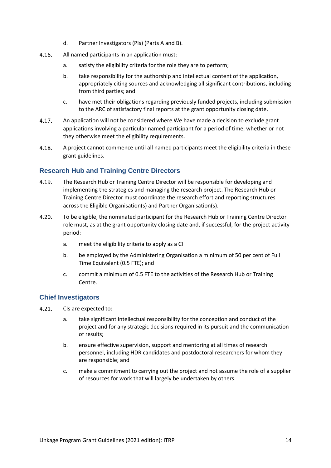- d. Partner Investigators (PIs) (Parts A and B).
- $4.16.$ All named participants in an application must:
	- a. satisfy the eligibility criteria for the role they are to perform;
	- b. take responsibility for the authorship and intellectual content of the application, appropriately citing sources and acknowledging all significant contributions, including from third parties; and
	- c. have met their obligations regarding previously funded projects, including submission to the ARC of satisfactory final reports at the grant opportunity closing date.
- $4.17.$ An application will not be considered where We have made a decision to exclude grant applications involving a particular named participant for a period of time, whether or not they otherwise meet the eligibility requirements.
- $4.18.$ A project cannot commence until all named participants meet the eligibility criteria in these grant guidelines.

## <span id="page-13-0"></span>**Research Hub and Training Centre Directors**

- 4.19. The Research Hub or Training Centre Director will be responsible for developing and implementing the strategies and managing the research project. The Research Hub or Training Centre Director must coordinate the research effort and reporting structures across the Eligible Organisation(s) and Partner Organisation(s).
- $4.20.$ To be eligible, the nominated participant for the Research Hub or Training Centre Director role must, as at the grant opportunity closing date and, if successful, for the project activity period:
	- a. meet the eligibility criteria to apply as a CI
	- b. be employed by the Administering Organisation a minimum of 50 per cent of Full Time Equivalent (0.5 FTE); and
	- c. commit a minimum of 0.5 FTE to the activities of the Research Hub or Training Centre.

## <span id="page-13-1"></span>**Chief Investigators**

- $4.21.$ CIs are expected to:
	- a. take significant intellectual responsibility for the conception and conduct of the project and for any strategic decisions required in its pursuit and the communication of results;
	- b. ensure effective supervision, support and mentoring at all times of research personnel, including HDR candidates and postdoctoral researchers for whom they are responsible; and
	- c. make a commitment to carrying out the project and not assume the role of a supplier of resources for work that will largely be undertaken by others.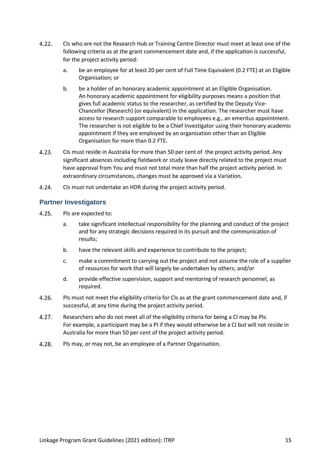- $4.22.$ CIs who are not the Research Hub or Training Centre Director must meet at least one of the following criteria as at the grant commencement date and, if the application is successful, for the project activity period:
	- a. be an employee for at least 20 per cent of Full Time Equivalent (0.2 FTE) at an Eligible Organisation; or
	- b. be a holder of an honorary academic appointment at an Eligible Organisation. An honorary academic appointment for eligibility purposes means a position that gives full academic status to the researcher, as certified by the Deputy Vice-Chancellor (Research) (or equivalent) in the application. The researcher must have access to research support comparable to employees e.g., an emeritus appointment. The researcher is not eligible to be a Chief Investigator using their honorary academic appointment if they are employed by an organisation other than an Eligible Organisation for more than 0.2 FTE.
- $4.23.$ CIs must reside in Australia for more than 50 per cent of the project activity period. Any significant absences including fieldwork or study leave directly related to the project must have approval from You and must not total more than half the project activity period. In extraordinary circumstances, changes must be approved via a Variation.
- $4.24.$ CIs must not undertake an HDR during the project activity period.

## <span id="page-14-0"></span>**Partner Investigators**

- $4.25.$ PIs are expected to:
	- a. take significant intellectual responsibility for the planning and conduct of the project and for any strategic decisions required in its pursuit and the communication of results;
	- b. have the relevant skills and experience to contribute to the project;
	- c. make a commitment to carrying out the project and not assume the role of a supplier of resources for work that will largely be undertaken by others; and/or
	- d. provide effective supervision, support and mentoring of research personnel, as required.
- PIs must not meet the eligibility criteria for CIs as at the grant commencement date and, if  $4.26.$ successful, at any time during the project activity period.
- $4.27.$ Researchers who do not meet all of the eligibility criteria for being a CI may be PIs. For example, a participant may be a PI if they would otherwise be a CI but will not reside in Australia for more than 50 per cent of the project activity period.
- $4.28.$ PIs may, or may not, be an employee of a Partner Organisation.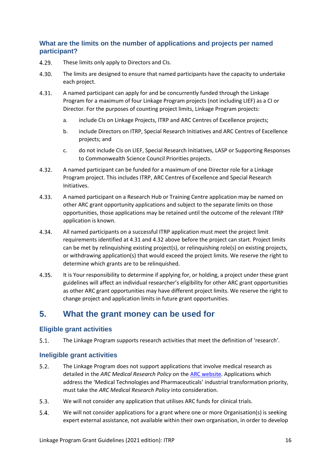## <span id="page-15-0"></span>**What are the limits on the number of applications and projects per named participant?**

- 4.29. These limits only apply to Directors and CIs.
- $4.30.$ The limits are designed to ensure that named participants have the capacity to undertake each project.
- $4.31.$ A named participant can apply for and be concurrently funded through the Linkage Program for a maximum of four Linkage Program projects (not including LIEF) as a CI or Director. For the purposes of counting project limits, Linkage Program projects:
	- a. include CIs on Linkage Projects, ITRP and ARC Centres of Excellence projects;
	- b. include Directors on ITRP, Special Research Initiatives and ARC Centres of Excellence projects; and
	- c. do not include CIs on LIEF, Special Research Initiatives, LASP or Supporting Responses to Commonwealth Science Council Priorities projects.
- 4.32. A named participant can be funded for a maximum of one Director role for a Linkage Program project. This includes ITRP, ARC Centres of Excellence and Special Research Initiatives.
- $4.33.$ A named participant on a Research Hub or Training Centre application may be named on other ARC grant opportunity applications and subject to the separate limits on those opportunities, those applications may be retained until the outcome of the relevant ITRP application is known.
- 4.34. All named participants on a successful ITRP application must meet the project limit requirements identified at 4.31 and 4.32 above before the project can start. Project limits can be met by relinquishing existing project(s), or relinquishing role(s) on existing projects, or withdrawing application(s) that would exceed the project limits. We reserve the right to determine which grants are to be relinquished.
- 4.35. It is Your responsibility to determine if applying for, or holding, a project under these grant guidelines will affect an individual researcher's eligibility for other ARC grant opportunities as other ARC grant opportunities may have different project limits. We reserve the right to change project and application limits in future grant opportunities.

# <span id="page-15-1"></span>**5. What the grant money can be used for**

## <span id="page-15-2"></span>**Eligible grant activities**

 $5.1.$ The Linkage Program supports research activities that meet the definition of 'research'.

## <span id="page-15-3"></span>**Ineligible grant activities**

- $5.2.$ The Linkage Program does not support applications that involve medical research as detailed in the *ARC Medical Research Policy* on the [ARC website](http://www.arc.gov.au/)*.* Applications which address the 'Medical Technologies and Pharmaceuticals' industrial transformation priority, must take the *ARC Medical Research Policy* into consideration.
- $5.3.$ We will not consider any application that utilises ARC funds for clinical trials.
- $5.4.$ We will not consider applications for a grant where one or more Organisation(s) is seeking expert external assistance, not available within their own organisation, in order to develop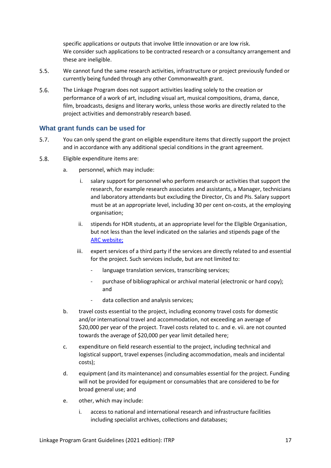specific applications or outputs that involve little innovation or are low risk. We consider such applications to be contracted research or a consultancy arrangement and these are ineligible.

- $5.5.$ We cannot fund the same research activities, infrastructure or project previously funded or currently being funded through any other Commonwealth grant.
- $5.6.$ The Linkage Program does not support activities leading solely to the creation or performance of a work of art, including visual art, musical compositions, drama, dance, film, broadcasts, designs and literary works, unless those works are directly related to the project activities and demonstrably research based.

## <span id="page-16-0"></span>**What grant funds can be used for**

- $5.7.$ You can only spend the grant on eligible expenditure items that directly support the project and in accordance with any additional special conditions in the grant agreement.
- $5.8.$ Eligible expenditure items are:
	- a. personnel, which may include:
		- i. salary support for personnel who perform research or activities that support the research, for example research associates and assistants, a Manager, technicians and laboratory attendants but excluding the Director, CIs and PIs. Salary support must be at an appropriate level, including 30 per cent on-costs, at the employing organisation;
		- ii. stipends for HDR students, at an appropriate level for the Eligible Organisation, but not less than the level indicated on the salaries and stipends page of the [ARC website;](http://www.arc.gov.au/)
		- iii. expert services of a third party if the services are directly related to and essential for the project. Such services include, but are not limited to:
			- language translation services, transcribing services;
			- purchase of bibliographical or archival material (electronic or hard copy); and
			- data collection and analysis services;
	- b. travel costs essential to the project, including economy travel costs for domestic and/or international travel and accommodation, not exceeding an average of \$20,000 per year of the project. Travel costs related to c. and e. vii. are not counted towards the average of \$20,000 per year limit detailed here;
	- c. expenditure on field research essential to the project, including technical and logistical support, travel expenses (including accommodation, meals and incidental costs);
	- d. equipment (and its maintenance) and consumables essential for the project. Funding will not be provided for equipment or consumables that are considered to be for broad general use; and
	- e. other, which may include:
		- i. access to national and international research and infrastructure facilities including specialist archives, collections and databases;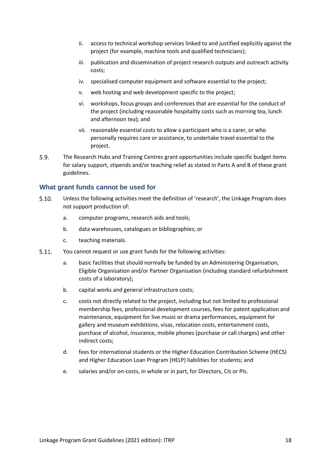- ii. access to technical workshop services linked to and justified explicitly against the project (for example, machine tools and qualified technicians);
- iii. publication and dissemination of project research outputs and outreach activity costs;
- iv. specialised computer equipment and software essential to the project;
- v. web hosting and web development specific to the project;
- vi. workshops, focus groups and conferences that are essential for the conduct of the project (including reasonable hospitality costs such as morning tea, lunch and afternoon tea); and
- vii. reasonable essential costs to allow a participant who is a carer, or who personally requires care or assistance, to undertake travel essential to the project.
- $5.9.$ The Research Hubs and Training Centres grant opportunities include specific budget items for salary support, stipends and/or teaching relief as stated in Parts A and B of these grant guidelines.

## <span id="page-17-0"></span>**What grant funds cannot be used for**

- $5.10.$ Unless the following activities meet the definition of 'research', the Linkage Program does not support production of:
	- a. computer programs, research aids and tools;
	- b. data warehouses, catalogues or bibliographies; or
	- c. teaching materials.
- $5.11.$ You cannot request or use grant funds for the following activities:
	- a. basic facilities that should normally be funded by an Administering Organisation, Eligible Organisation and/or Partner Organisation (including standard refurbishment costs of a laboratory);
	- b. capital works and general infrastructure costs;
	- c. costs not directly related to the project, including but not limited to professional membership fees, professional development courses, fees for patent application and maintenance, equipment for live music or drama performances, equipment for gallery and museum exhibitions, visas, relocation costs, entertainment costs, purchase of alcohol, insurance, mobile phones (purchase or call charges) and other indirect costs;
	- d. fees for international students or the Higher Education Contribution Scheme (HECS) and Higher Education Loan Program (HELP) liabilities for students; and
	- e. salaries and/or on-costs, in whole or in part, for Directors, CIs or PIs.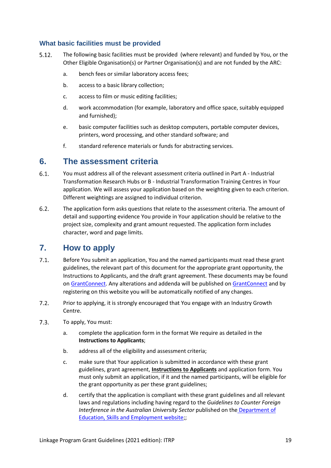## <span id="page-18-0"></span>**What basic facilities must be provided**

- $5.12.$ The following basic facilities must be provided (where relevant) and funded by You, or the Other Eligible Organisation(s) or Partner Organisation(s) and are not funded by the ARC:
	- a. bench fees or similar laboratory access fees;
	- b. access to a basic library collection;
	- c. access to film or music editing facilities;
	- d. work accommodation (for example, laboratory and office space, suitably equipped and furnished);
	- e. basic computer facilities such as desktop computers, portable computer devices, printers, word processing, and other standard software; and
	- f. standard reference materials or funds for abstracting services.

## <span id="page-18-1"></span>**6. The assessment criteria**

- $6.1.$ You must address all of the relevant assessment criteria outlined in Part A - Industrial Transformation Research Hubs or B - Industrial Transformation Training Centres in Your application. We will assess your application based on the weighting given to each criterion. Different weightings are assigned to individual criterion.
- $6.2.$ The application form asks questions that relate to the assessment criteria. The amount of detail and supporting evidence You provide in Your application should be relative to the project size, complexity and grant amount requested. The application form includes character, word and page limits.

## <span id="page-18-2"></span>**7. How to apply**

- $7.1.$ Before You submit an application, You and the named participants must read these grant guidelines, the relevant part of this document for the appropriate grant opportunity, the Instructions to Applicants, and the draft grant agreement. These documents may be found on [GrantConnect.](http://www.grants.gov.au/) Any alterations and addenda will be published o[n GrantConnect](http://www.grants.gov.au/) and by registering on this website you will be automatically notified of any changes.
- $7.2<sub>1</sub>$ Prior to applying, it is strongly encouraged that You engage with an Industry Growth Centre.
- $7.3.$ To apply, You must:
	- a. complete the application form in the format We require as detailed in the **Instructions to Applicants**;
	- b. address all of the eligibility and assessment criteria;
	- c. make sure that Your application is submitted in accordance with these grant guidelines, grant agreement, **Instructions to Applicants** and application form. You must only submit an application, if it and the named participants, will be eligible for the grant opportunity as per these grant guidelines;
	- d. certify that the application is compliant with these grant guidelines and all relevant laws and regulations including having regard to the *Guidelines to Counter Foreign Interference in the Australian University Sector* published on the [Department of](https://www.dese.gov.au/guidelines-counter-foreign-interference-australian-university-sector)  [Education, Skills and Employment website;](https://www.dese.gov.au/guidelines-counter-foreign-interference-australian-university-sector);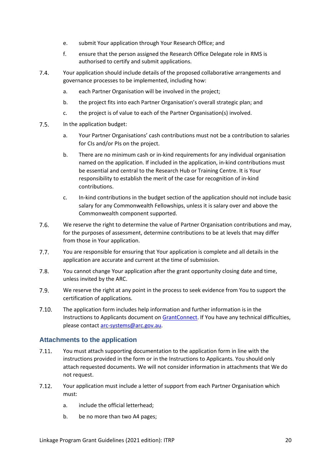- e. submit Your application through Your Research Office; and
- f. ensure that the person assigned the Research Office Delegate role in RMS is authorised to certify and submit applications.
- $7.4.$ Your application should include details of the proposed collaborative arrangements and governance processes to be implemented, including how:
	- a. each Partner Organisation will be involved in the project;
	- b. the project fits into each Partner Organisation's overall strategic plan; and
	- c. the project is of value to each of the Partner Organisation(s) involved.
- $7.5.$ In the application budget:
	- a. Your Partner Organisations' cash contributions must not be a contribution to salaries for CIs and/or PIs on the project.
	- b. There are no minimum cash or in-kind requirements for any individual organisation named on the application. If included in the application, in-kind contributions must be essential and central to the Research Hub or Training Centre. It is Your responsibility to establish the merit of the case for recognition of in-kind contributions.
	- c. In-kind contributions in the budget section of the application should not include basic salary for any Commonwealth Fellowships, unless it is salary over and above the Commonwealth component supported.
- $7.6.$ We reserve the right to determine the value of Partner Organisation contributions and may, for the purposes of assessment, determine contributions to be at levels that may differ from those in Your application.
- $7.7.$ You are responsible for ensuring that Your application is complete and all details in the application are accurate and current at the time of submission.
- $7.8.$ You cannot change Your application after the grant opportunity closing date and time, unless invited by the ARC.
- $7.9.$ We reserve the right at any point in the process to seek evidence from You to support the certification of applications.
- $7.10.$ The application form includes help information and further information is in the Instructions to Applicants document on [GrantConnect.](http://www.grants.gov.au/) If You have any technical difficulties, please contact [arc-systems@arc.gov.au.](mailto:arc-systems@arc.gov.au)

## <span id="page-19-0"></span>**Attachments to the application**

- $7.11.$ You must attach supporting documentation to the application form in line with the instructions provided in the form or in the Instructions to Applicants. You should only attach requested documents. We will not consider information in attachments that We do not request.
- $7.12.$ Your application must include a letter of support from each Partner Organisation which must:
	- a. include the official letterhead;
	- b. be no more than two A4 pages;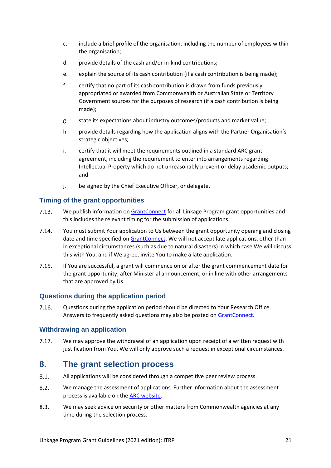- c. include a brief profile of the organisation, including the number of employees within the organisation;
- d. provide details of the cash and/or in-kind contributions;
- e. explain the source of its cash contribution (if a cash contribution is being made);
- f. certify that no part of its cash contribution is drawn from funds previously appropriated or awarded from Commonwealth or Australian State or Territory Government sources for the purposes of research (if a cash contribution is being made);
- g. state its expectations about industry outcomes/products and market value;
- h. provide details regarding how the application aligns with the Partner Organisation's strategic objectives;
- i. certify that it will meet the requirements outlined in a standard ARC grant agreement, including the requirement to enter into arrangements regarding Intellectual Property which do not unreasonably prevent or delay academic outputs; and
- j. be signed by the Chief Executive Officer, or delegate.

## <span id="page-20-0"></span>**Timing of the grant opportunities**

- $7.13.$ We publish information on [GrantConnect](http://www.grants.gov.au/) for all Linkage Program grant opportunities and this includes the relevant timing for the submission of applications.
- $7.14.$ You must submit Your application to Us between the grant opportunity opening and closing date and time specified on [GrantConnect.](http://www.grants.gov.au/) We will not accept late applications, other than in exceptional circumstances (such as due to natural disasters) in which case We will discuss this with You, and if We agree, invite You to make a late application.
- $7.15.$ If You are successful, a grant will commence on or after the grant commencement date for the grant opportunity, after Ministerial announcement, or in line with other arrangements that are approved by Us.

## <span id="page-20-1"></span>**Questions during the application period**

7.16. Questions during the application period should be directed to Your Research Office. Answers to frequently asked questions may also be posted on [GrantConnect.](http://www.grants.gov.au/)

## <span id="page-20-2"></span>**Withdrawing an application**

We may approve the withdrawal of an application upon receipt of a written request with  $7.17.$ justification from You. We will only approve such a request in exceptional circumstances.

## <span id="page-20-3"></span>**8. The grant selection process**

- $8.1.$ All applications will be considered through a competitive peer review process.
- $8.2.$ We manage the assessment of applications. Further information about the assessment process is available on the [ARC website.](http://www.arc.gov.au/)
- $8.3.$ We may seek advice on security or other matters from Commonwealth agencies at any time during the selection process.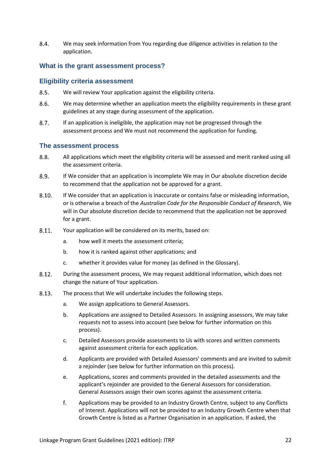$8.4.$ We may seek information from You regarding due diligence activities in relation to the application.

## <span id="page-21-0"></span>**What is the grant assessment process?**

#### <span id="page-21-1"></span>**Eligibility criteria assessment**

- $8.5.$ We will review Your application against the eligibility criteria.
- $8.6.$ We may determine whether an application meets the eligibility requirements in these grant guidelines at any stage during assessment of the application.
- $8.7.$ If an application is ineligible, the application may not be progressed through the assessment process and We must not recommend the application for funding.

#### <span id="page-21-2"></span>**The assessment process**

- $8.8.$ All applications which meet the eligibility criteria will be assessed and merit ranked using all the assessment criteria.
- $8.9.$ If We consider that an application is incomplete We may in Our absolute discretion decide to recommend that the application not be approved for a grant.
- $8.10.$ If We consider that an application is inaccurate or contains false or misleading information, or is otherwise a breach of the *Australian Code for the Responsible Conduct of Research*, We will in Our absolute discretion decide to recommend that the application not be approved for a grant.
- $8.11.$ Your application will be considered on its merits, based on:
	- a. how well it meets the assessment criteria;
	- b. how it is ranked against other applications; and
	- c. whether it provides value for money (as defined in the Glossary).
- 8.12. During the assessment process, We may request additional information, which does not change the nature of Your application.
- 8.13. The process that We will undertake includes the following steps.
	- a. We assign applications to General Assessors.
	- b. Applications are assigned to Detailed Assessors. In assigning assessors, We may take requests not to assess into account (see below for further information on this process).
	- c. Detailed Assessors provide assessments to Us with scores and written comments against assessment criteria for each application.
	- d. Applicants are provided with Detailed Assessors' comments and are invited to submit a rejoinder (see below for further information on this process).
	- e. Applications, scores and comments provided in the detailed assessments and the applicant's rejoinder are provided to the General Assessors for consideration. General Assessors assign their own scores against the assessment criteria.
	- f. Applications may be provided to an Industry Growth Centre, subject to any Conflicts of Interest. Applications will not be provided to an Industry Growth Centre when that Growth Centre is listed as a Partner Organisation in an application. If asked, the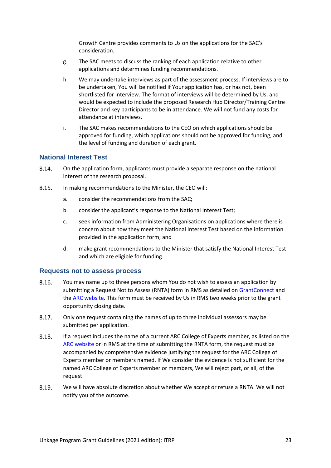Growth Centre provides comments to Us on the applications for the SAC's consideration.

- g. The SAC meets to discuss the ranking of each application relative to other applications and determines funding recommendations.
- h. We may undertake interviews as part of the assessment process. If interviews are to be undertaken, You will be notified if Your application has, or has not, been shortlisted for interview. The format of interviews will be determined by Us, and would be expected to include the proposed Research Hub Director/Training Centre Director and key participants to be in attendance. We will not fund any costs for attendance at interviews.
- i. The SAC makes recommendations to the CEO on which applications should be approved for funding, which applications should not be approved for funding, and the level of funding and duration of each grant.

## <span id="page-22-0"></span>**National Interest Test**

- 8.14. On the application form, applicants must provide a separate response on the national interest of the research proposal.
- $8.15.$ In making recommendations to the Minister, the CEO will:
	- a. consider the recommendations from the SAC;
	- b. consider the applicant's response to the National Interest Test;
	- c. seek information from Administering Organisations on applications where there is concern about how they meet the National Interest Test based on the information provided in the application form; and
	- d. make grant recommendations to the Minister that satisfy the National Interest Test and which are eligible for funding.

## <span id="page-22-1"></span>**Requests not to assess process**

- 8.16. You may name up to three persons whom You do not wish to assess an application by submitting a Request Not to Assess (RNTA) form in RMS as detailed o[n GrantConnect](http://www.grants.gov.au/) and the ARC [website.](http://www.arc.gov.au/) This form must be received by Us in RMS two weeks prior to the grant opportunity closing date.
- 8.17. Only one request containing the names of up to three individual assessors may be submitted per application.
- 8.18. If a request includes the name of a current ARC College of Experts member, as listed on the [ARC website](http://www.arc.gov.au/) or in RMS at the time of submitting the RNTA form, the request must be accompanied by comprehensive evidence justifying the request for the ARC College of Experts member or members named. If We consider the evidence is not sufficient for the named ARC College of Experts member or members, We will reject part, or all, of the request.
- 8.19. We will have absolute discretion about whether We accept or refuse a RNTA. We will not notify you of the outcome.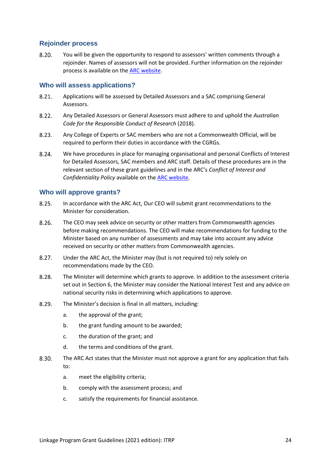## <span id="page-23-0"></span>**Rejoinder process**

 $8.20.$ You will be given the opportunity to respond to assessors' written comments through a rejoinder. Names of assessors will not be provided. Further information on the rejoinder process is available on the [ARC website.](http://www.arc.gov.au/)

## <span id="page-23-1"></span>**Who will assess applications?**

- $8.21.$ Applications will be assessed by Detailed Assessors and a SAC comprising General Assessors.
- $8.22.$ Any Detailed Assessors or General Assessors must adhere to and uphold the *Australian Code for the Responsible Conduct of Research* (2018).
- $8.23.$ Any College of Experts or SAC members who are not a Commonwealth Official, will be required to perform their duties in accordance with the CGRGs.
- $8.24.$ We have procedures in place for managing organisational and personal Conflicts of Interest for Detailed Assessors, SAC members and ARC staff. Details of these procedures are in the relevant section of these grant guidelines and in the ARC's *Conflict of Interest and Confidentiality Policy* available on the [ARC website](http://www.arc.gov.au/)*.*

## <span id="page-23-2"></span>**Who will approve grants?**

- $8.25.$ In accordance with the ARC Act, Our CEO will submit grant recommendations to the Minister for consideration.
- $8.26.$ The CEO may seek advice on security or other matters from Commonwealth agencies before making recommendations. The CEO will make recommendations for funding to the Minister based on any number of assessments and may take into account any advice received on security or other matters from Commonwealth agencies.
- $8.27.$ Under the ARC Act, the Minister may (but is not required to) rely solely on recommendations made by the CEO.
- 8.28. The Minister will determine which grants to approve. In addition to the assessment criteria set out in Section 6, the Minister may consider the National Interest Test and any advice on national security risks in determining which applications to approve.
- 8.29. The Minister's decision is final in all matters, including:
	- a. the approval of the grant;
	- b. the grant funding amount to be awarded;
	- c. the duration of the grant; and
	- d. the terms and conditions of the grant.
- 8.30. The ARC Act states that the Minister must not approve a grant for any application that fails to:
	- a. meet the eligibility criteria;
	- b. comply with the assessment process; and
	- c. satisfy the requirements for financial assistance.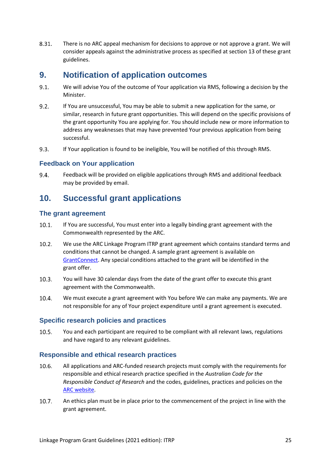8.31. There is no ARC appeal mechanism for decisions to approve or not approve a grant. We will consider appeals against the administrative process as specified at section 13 of these grant guidelines.

## <span id="page-24-0"></span>**9. Notification of application outcomes**

- $9.1.$ We will advise You of the outcome of Your application via RMS, following a decision by the Minister.
- $9.2.$ If You are unsuccessful, You may be able to submit a new application for the same, or similar, research in future grant opportunities. This will depend on the specific provisions of the grant opportunity You are applying for. You should include new or more information to address any weaknesses that may have prevented Your previous application from being successful.
- $9.3.$ If Your application is found to be ineligible, You will be notified of this through RMS.

## <span id="page-24-1"></span>**Feedback on Your application**

 $9.4.$ Feedback will be provided on eligible applications through RMS and additional feedback may be provided by email.

# <span id="page-24-2"></span>**10. Successful grant applications**

## <span id="page-24-3"></span>**The grant agreement**

- $10.1.$ If You are successful, You must enter into a legally binding grant agreement with the Commonwealth represented by the ARC.
- $10.2.$ We use the ARC Linkage Program ITRP grant agreement which contains standard terms and conditions that cannot be changed. A sample grant agreement is available on [GrantConnect.](http://www.grants.gov.au/) Any special conditions attached to the grant will be identified in the grant offer.
- $10.3.$ You will have 30 calendar days from the date of the grant offer to execute this grant agreement with the Commonwealth.
- $10.4.$ We must execute a grant agreement with You before We can make any payments. We are not responsible for any of Your project expenditure until a grant agreement is executed.

## <span id="page-24-4"></span>**Specific research policies and practices**

 $10.5.$ You and each participant are required to be compliant with all relevant laws, regulations and have regard to any relevant guidelines.

## <span id="page-24-5"></span>**Responsible and ethical research practices**

- All applications and ARC-funded research projects must comply with the requirements for 10.6. responsible and ethical research practice specified in the *Australian Code for the Responsible Conduct of Research* and the codes, guidelines, practices and policies on the [ARC website.](https://www.arc.gov.au/policies-strategies/policy/codes-and-guidelines)
- $10.7.$ An ethics plan must be in place prior to the commencement of the project in line with the grant agreement.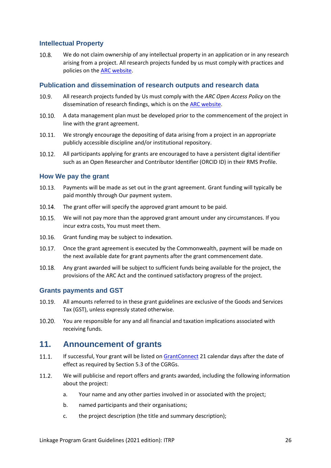## <span id="page-25-0"></span>**Intellectual Property**

 $10.8.$ We do not claim ownership of any intellectual property in an application or in any research arising from a project. All research projects funded by us must comply with practices and policies on the [ARC website.](http://www.arc.gov.au/)

## <span id="page-25-1"></span>**Publication and dissemination of research outputs and research data**

- $10.9.$ All research projects funded by Us must comply with the *ARC Open Access Policy* on the dissemination of research findings, which is on th[e ARC website.](http://www.arc.gov.au/)
- $10.10.$ A data management plan must be developed prior to the commencement of the project in line with the grant agreement.
- $10.11.$ We strongly encourage the depositing of data arising from a project in an appropriate publicly accessible discipline and/or institutional repository.
- All participants applying for grants are encouraged to have a persistent digital identifier  $10.12.$ such as an Open Researcher and Contributor Identifier (ORCID ID) in their RMS Profile.

## <span id="page-25-2"></span>**How We pay the grant**

- $10.13.$ Payments will be made as set out in the grant agreement. Grant funding will typically be paid monthly through Our payment system.
- 10.14. The grant offer will specify the approved grant amount to be paid.
- $10.15.$ We will not pay more than the approved grant amount under any circumstances. If you incur extra costs, You must meet them.
- $10.16.$ Grant funding may be subject to indexation.
- $10.17.$ Once the grant agreement is executed by the Commonwealth, payment will be made on the next available date for grant payments after the grant commencement date.
- 10.18. Any grant awarded will be subject to sufficient funds being available for the project, the provisions of the ARC Act and the continued satisfactory progress of the project.

## <span id="page-25-3"></span>**Grants payments and GST**

- $10.19.$ All amounts referred to in these grant guidelines are exclusive of the Goods and Services Tax (GST), unless expressly stated otherwise.
- $10.20.$ You are responsible for any and all financial and taxation implications associated with receiving funds.

## <span id="page-25-4"></span>**11. Announcement of grants**

- $11.1.$ If successful, Your grant will be listed o[n GrantConnect](http://www.grants.gov.au/) 21 calendar days after the date of effect as required by Section 5.3 of the CGRGs.
- $11.2.$ We will publicise and report offers and grants awarded, including the following information about the project:
	- a. Your name and any other parties involved in or associated with the project;
	- b. named participants and their organisations;
	- c. the project description (the title and summary description);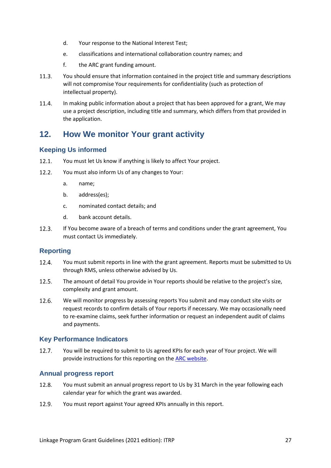- d. Your response to the National Interest Test;
- e. classifications and international collaboration country names; and
- f. the ARC grant funding amount.
- $11.3.$ You should ensure that information contained in the project title and summary descriptions will not compromise Your requirements for confidentiality (such as protection of intellectual property).
- $11.4$ In making public information about a project that has been approved for a grant, We may use a project description, including title and summary, which differs from that provided in the application.

# <span id="page-26-0"></span>**12. How We monitor Your grant activity**

## <span id="page-26-1"></span>**Keeping Us informed**

- $12.1.$ You must let Us know if anything is likely to affect Your project.
- $12.2.$ You must also inform Us of any changes to Your:
	- a. name;
	- b. address(es);
	- c. nominated contact details; and
	- d. bank account details.
- $12.3.$ If You become aware of a breach of terms and conditions under the grant agreement, You must contact Us immediately.

## <span id="page-26-2"></span>**Reporting**

- $12.4.$ You must submit reports in line with the grant agreement. Reports must be submitted to Us through RMS, unless otherwise advised by Us.
- $12.5.$ The amount of detail You provide in Your reports should be relative to the project's size, complexity and grant amount.
- $12.6.$ We will monitor progress by assessing reports You submit and may conduct site visits or request records to confirm details of Your reports if necessary. We may occasionally need to re-examine claims, seek further information or request an independent audit of claims and payments.

## <span id="page-26-3"></span>**Key Performance Indicators**

 $12.7.$ You will be required to submit to Us agreed KPIs for each year of Your project. We will provide instructions for this reporting on th[e ARC website.](http://www.arc.gov.au/)

## <span id="page-26-4"></span>**Annual progress report**

- You must submit an annual progress report to Us by 31 March in the year following each 12.8. calendar year for which the grant was awarded.
- $12.9.$ You must report against Your agreed KPIs annually in this report.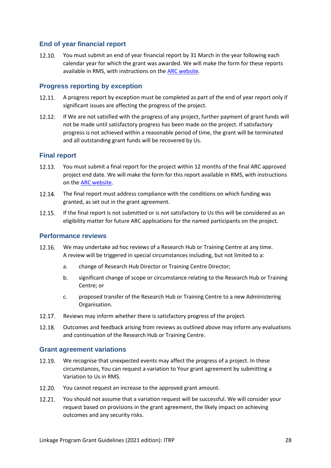## <span id="page-27-0"></span>**End of year financial report**

 $12.10.$ You must submit an end of year financial report by 31 March in the year following each calendar year for which the grant was awarded. We will make the form for these reports available in RMS, with instructions on the [ARC website.](http://www.arc.gov.au/)

## <span id="page-27-1"></span>**Progress reporting by exception**

- 12.11. A progress report by exception must be completed as part of the end of year report only if significant issues are affecting the progress of the project.
- $12.12.$ If We are not satisfied with the progress of any project, further payment of grant funds will not be made until satisfactory progress has been made on the project. If satisfactory progress is not achieved within a reasonable period of time, the grant will be terminated and all outstanding grant funds will be recovered by Us.

## <span id="page-27-2"></span>**Final report**

- 12.13. You must submit a final report for the project within 12 months of the final ARC approved project end date. We will make the form for this report available in RMS, with instructions on the [ARC website.](http://www.arc.gov.au/)
- 12.14. The final report must address compliance with the conditions on which funding was granted, as set out in the grant agreement.
- 12.15. If the final report is not submitted or is not satisfactory to Us this will be considered as an eligibility matter for future ARC applications for the named participants on the project.

## <span id="page-27-3"></span>**Performance reviews**

- $12.16.$ We may undertake ad hoc reviews of a Research Hub or Training Centre at any time. A review will be triggered in special circumstances including, but not limited to a:
	- a. change of Research Hub Director or Training Centre Director;
	- b. significant change of scope or circumstance relating to the Research Hub or Training Centre; or
	- c. proposed transfer of the Research Hub or Training Centre to a new Administering Organisation.
- $12.17.$ Reviews may inform whether there is satisfactory progress of the project.
- 12.18. Outcomes and feedback arising from reviews as outlined above may inform any evaluations and continuation of the Research Hub or Training Centre.

## <span id="page-27-4"></span>**Grant agreement variations**

- 12.19. We recognise that unexpected events may affect the progress of a project. In these circumstances, You can request a variation to Your grant agreement by submitting a Variation to Us in RMS.
- $12.20.$ You cannot request an increase to the approved grant amount.
- $12.21.$ You should not assume that a variation request will be successful. We will consider your request based on provisions in the grant agreement, the likely impact on achieving outcomes and any security risks.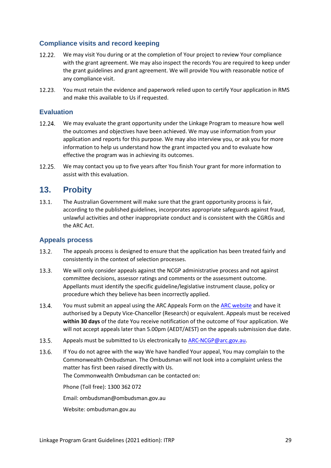## <span id="page-28-0"></span>**Compliance visits and record keeping**

- 12.22. We may visit You during or at the completion of Your project to review Your compliance with the grant agreement. We may also inspect the records You are required to keep under the grant guidelines and grant agreement. We will provide You with reasonable notice of any compliance visit.
- $12.23.$ You must retain the evidence and paperwork relied upon to certify Your application in RMS and make this available to Us if requested.

## <span id="page-28-1"></span>**Evaluation**

- $12.24.$ We may evaluate the grant opportunity under the Linkage Program to measure how well the outcomes and objectives have been achieved. We may use information from your application and reports for this purpose. We may also interview you, or ask you for more information to help us understand how the grant impacted you and to evaluate how effective the program was in achieving its outcomes.
- $12.25.$ We may contact you up to five years after You finish Your grant for more information to assist with this evaluation.

## <span id="page-28-2"></span>**13. Probity**

 $13.1.$ The Australian Government will make sure that the grant opportunity process is fair, according to the published guidelines, incorporates appropriate safeguards against fraud, unlawful activities and other inappropriate conduct and is consistent with the CGRGs and the ARC Act.

## <span id="page-28-3"></span>**Appeals process**

- $13.2.$ The appeals process is designed to ensure that the application has been treated fairly and consistently in the context of selection processes.
- $13.3.$ We will only consider appeals against the NCGP administrative process and not against committee decisions, assessor ratings and comments or the assessment outcome. Appellants must identify the specific guideline/legislative instrument clause, policy or procedure which they believe has been incorrectly applied.
- 13.4. You must submit an appeal using the ARC Appeals Form on the [ARC website](http://www.arc.gov.au/) and have it authorised by a Deputy Vice-Chancellor (Research) or equivalent. Appeals must be received **within 30 days** of the date You receive notification of the outcome of Your application. We will not accept appeals later than 5.00pm (AEDT/AEST) on the appeals submission due date.
- $13.5.$ Appeals must be submitted to Us electronically to [ARC-NCGP@arc.gov.au.](mailto:ARC-NCGP@arc.gov.au)
- $13.6.$ If You do not agree with the way We have handled Your appeal, You may complain to the Commonwealth Ombudsman. The Ombudsman will not look into a complaint unless the matter has first been raised directly with Us. The Commonwealth Ombudsman can be contacted on:

Phone (Toll free): 1300 362 072

Email: ombudsman@ombudsman.gov.au

Website: ombudsman.gov.au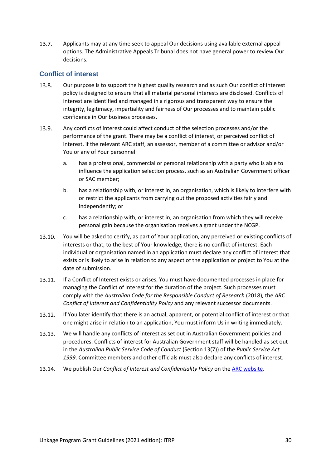$13.7.$ Applicants may at any time seek to appeal Our decisions using available external appeal options. The Administrative Appeals Tribunal does not have general power to review Our decisions.

## <span id="page-29-0"></span>**Conflict of interest**

- 13.8. Our purpose is to support the highest quality research and as such Our conflict of interest policy is designed to ensure that all material personal interests are disclosed. Conflicts of interest are identified and managed in a rigorous and transparent way to ensure the integrity, legitimacy, impartiality and fairness of Our processes and to maintain public confidence in Our business processes.
- $13.9.$ Any conflicts of interest could affect conduct of the selection processes and/or the performance of the grant. There may be a conflict of interest, or perceived conflict of interest, if the relevant ARC staff, an assessor, member of a committee or advisor and/or You or any of Your personnel:
	- a. has a professional, commercial or personal relationship with a party who is able to influence the application selection process, such as an Australian Government officer or SAC member;
	- b. has a relationship with, or interest in, an organisation, which is likely to interfere with or restrict the applicants from carrying out the proposed activities fairly and independently; or
	- c. has a relationship with, or interest in, an organisation from which they will receive personal gain because the organisation receives a grant under the NCGP.
- 13.10. You will be asked to certify, as part of Your application, any perceived or existing conflicts of interests or that, to the best of Your knowledge, there is no conflict of interest. Each individual or organisation named in an application must declare any conflict of interest that exists or is likely to arise in relation to any aspect of the application or project to You at the date of submission.
- $13.11$ If a Conflict of Interest exists or arises, You must have documented processes in place for managing the Conflict of Interest for the duration of the project. Such processes must comply with the *Australian Code for the Responsible Conduct of Research* (2018)*,* the *ARC Conflict of Interest and Confidentiality Policy* and any relevant successor documents.
- $13.12.$ If You later identify that there is an actual, apparent, or potential conflict of interest or that one might arise in relation to an application, You must inform Us in writing immediately.
- $13.13.$ We will handle any conflicts of interest as set out in Australian Government policies and procedures. Conflicts of interest for Australian Government staff will be handled as set out in the *Australian Public Service Code of Conduct* (Section 13(7)) of the *Public Service Act 1999*. Committee members and other officials must also declare any conflicts of interest.
- We publish Our *Conflict of Interest and Confidentiality Policy* on the [ARC website.](http://www.arc.gov.au/)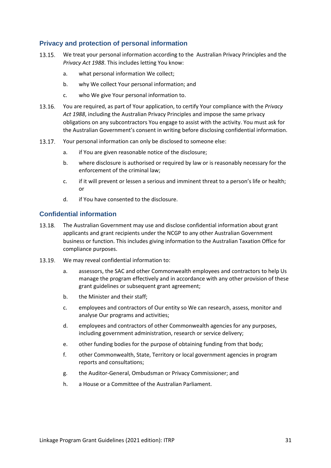## <span id="page-30-0"></span>**Privacy and protection of personal information**

- $13.15.$ We treat your personal information according to the Australian Privacy Principles and the *Privacy Act 1988*. This includes letting You know:
	- a. what personal information We collect;
	- b. why We collect Your personal information; and
	- c. who We give Your personal information to.
- You are required, as part of Your application, to certify Your compliance with the *Privacy*  13.16. *Act 1988*, including the Australian Privacy Principles and impose the same privacy obligations on any subcontractors You engage to assist with the activity. You must ask for the Australian Government's consent in writing before disclosing confidential information.
- Your personal information can only be disclosed to someone else: 13.17.
	- a. if You are given reasonable notice of the disclosure;
	- b. where disclosure is authorised or required by law or is reasonably necessary for the enforcement of the criminal law;
	- c. if it will prevent or lessen a serious and imminent threat to a person's life or health; or
	- d. if You have consented to the disclosure.

## <span id="page-30-1"></span>**Confidential information**

- 13.18. The Australian Government may use and disclose confidential information about grant applicants and grant recipients under the NCGP to any other Australian Government business or function. This includes giving information to the Australian Taxation Office for compliance purposes.
- 13.19. We may reveal confidential information to:
	- a. assessors, the SAC and other Commonwealth employees and contractors to help Us manage the program effectively and in accordance with any other provision of these grant guidelines or subsequent grant agreement;
	- b. the Minister and their staff;
	- c. employees and contractors of Our entity so We can research, assess, monitor and analyse Our programs and activities;
	- d. employees and contractors of other Commonwealth agencies for any purposes, including government administration, research or service delivery;
	- e. other funding bodies for the purpose of obtaining funding from that body;
	- f. other Commonwealth, State, Territory or local government agencies in program reports and consultations;
	- g. the Auditor-General, Ombudsman or Privacy Commissioner; and
	- h. a House or a Committee of the Australian Parliament.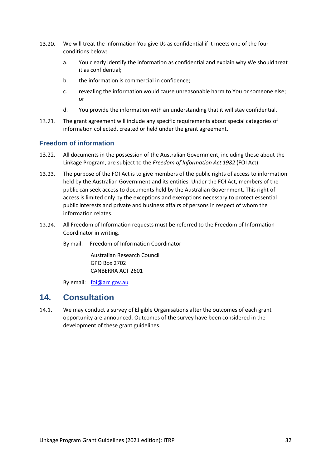- 13.20. We will treat the information You give Us as confidential if it meets one of the four conditions below:
	- a. You clearly identify the information as confidential and explain why We should treat it as confidential;
	- b. the information is commercial in confidence;
	- c. revealing the information would cause unreasonable harm to You or someone else; or
	- d. You provide the information with an understanding that it will stay confidential.
- 13.21. The grant agreement will include any specific requirements about special categories of information collected, created or held under the grant agreement.

## <span id="page-31-0"></span>**Freedom of information**

- $13.22.$ All documents in the possession of the Australian Government, including those about the Linkage Program, are subject to the *Freedom of Information Act 1982* (FOI Act).
- 13.23. The purpose of the FOI Act is to give members of the public rights of access to information held by the Australian Government and its entities. Under the FOI Act, members of the public can seek access to documents held by the Australian Government. This right of access is limited only by the exceptions and exemptions necessary to protect essential public interests and private and business affairs of persons in respect of whom the information relates.
- 13.24. All Freedom of Information requests must be referred to the Freedom of Information Coordinator in writing.
	- By mail: Freedom of Information Coordinator

Australian Research Council GPO Box 2702 CANBERRA ACT 2601

By email: [foi@arc.gov.au](mailto:foi@arc.gov.au)

## <span id="page-31-1"></span>**14. Consultation**

 $14.1.$ We may conduct a survey of Eligible Organisations after the outcomes of each grant opportunity are announced. Outcomes of the survey have been considered in the development of these grant guidelines.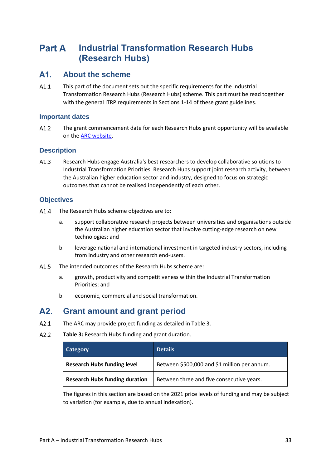#### <span id="page-32-0"></span>**Industrial Transformation Research Hubs Part A (Research Hubs)**

#### <span id="page-32-1"></span> $A1$ . **About the scheme**

 $A1.1$ This part of the document sets out the specific requirements for the Industrial Transformation Research Hubs (Research Hubs) scheme. This part must be read together with the general ITRP requirements in Sections 1-14 of these grant guidelines.

## <span id="page-32-2"></span>**Important dates**

 $A1.2$ The grant commencement date for each Research Hubs grant opportunity will be available on the [ARC website.](http://www.arc.gov.au/)

## <span id="page-32-3"></span>**Description**

 $A1.3$ Research Hubs engage Australia's best researchers to develop collaborative solutions to Industrial Transformation Priorities. Research Hubs support joint research activity, between the Australian higher education sector and industry, designed to focus on strategic outcomes that cannot be realised independently of each other.

## <span id="page-32-4"></span>**Objectives**

- $\Delta$ 1  $\Delta$ The Research Hubs scheme objectives are to:
	- a. support collaborative research projects between universities and organisations outside the Australian higher education sector that involve cutting-edge research on new technologies; and
	- b. leverage national and international investment in targeted industry sectors, including from industry and other research end-users.
- $A1.5$ The intended outcomes of the Research Hubs scheme are:
	- a. growth, productivity and competitiveness within the Industrial Transformation Priorities; and
	- b. economic, commercial and social transformation.

#### <span id="page-32-5"></span> $A2.$ **Grant amount and grant period**

- $A2.1$ The ARC may provide project funding as detailed in Table 3.
- $A2.2$ **Table 3:** Research Hubs funding and grant duration.

| Category                              | <b>Details</b>                               |
|---------------------------------------|----------------------------------------------|
| <b>Research Hubs funding level</b>    | Between \$500,000 and \$1 million per annum. |
| <b>Research Hubs funding duration</b> | Between three and five consecutive years.    |

The figures in this section are based on the 2021 price levels of funding and may be subject to variation (for example, due to annual indexation).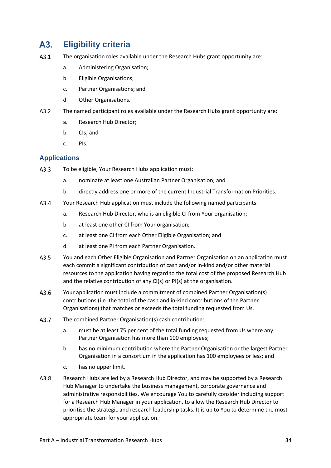#### <span id="page-33-0"></span>**Eligibility criteria** A3.

- $A3.1$ The organisation roles available under the Research Hubs grant opportunity are:
	- a. Administering Organisation;
	- b. Eligible Organisations;
	- c. Partner Organisations; and
	- d. Other Organisations.
- A3.2 The named participant roles available under the Research Hubs grant opportunity are:
	- a. Research Hub Director;
	- b. CIs; and
	- c. PIs.

## <span id="page-33-1"></span>**Applications**

- $A3.3$ To be eligible, Your Research Hubs application must:
	- a. nominate at least one Australian Partner Organisation; and
	- b. directly address one or more of the current Industrial Transformation Priorities.
- $A3.4$ Your Research Hub application must include the following named participants:
	- a. Research Hub Director, who is an eligible CI from Your organisation;
	- b. at least one other CI from Your organisation;
	- c. at least one CI from each Other Eligible Organisation; and
	- d. at least one PI from each Partner Organisation.
- $A3.5$ You and each Other Eligible Organisation and Partner Organisation on an application must each commit a significant contribution of cash and/or in-kind and/or other material resources to the application having regard to the total cost of the proposed Research Hub and the relative contribution of any CI(s) or PI(s) at the organisation.
- $A3.6$ Your application must include a commitment of combined Partner Organisation(s) contributions (i.e. the total of the cash and in-kind contributions of the Partner Organisations) that matches or exceeds the total funding requested from Us.
- $A3.7$ The combined Partner Organisation(s) cash contribution:
	- a. must be at least 75 per cent of the total funding requested from Us where any Partner Organisation has more than 100 employees;
	- b. has no minimum contribution where the Partner Organisation or the largest Partner Organisation in a consortium in the application has 100 employees or less; and
	- c. has no upper limit.
- A3.8 Research Hubs are led by a Research Hub Director, and may be supported by a Research Hub Manager to undertake the business management, corporate governance and administrative responsibilities. We encourage You to carefully consider including support for a Research Hub Manager in your application, to allow the Research Hub Director to prioritise the strategic and research leadership tasks. It is up to You to determine the most appropriate team for your application.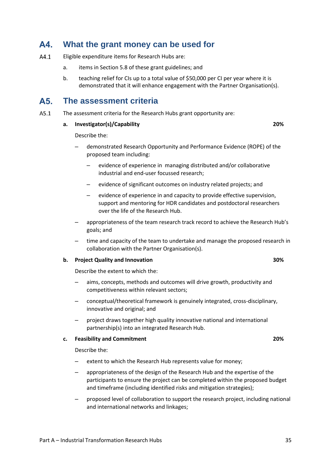#### <span id="page-34-0"></span>A4. **What the grant money can be used for**

- $A4.1$ Eligible expenditure items for Research Hubs are:
	- a. items in Section 5.8 of these grant guidelines; and
	- b. teaching relief for CIs up to a total value of \$50,000 per CI per year where it is demonstrated that it will enhance engagement with the Partner Organisation(s).

#### <span id="page-34-1"></span>A5. **The assessment criteria**

 $A5.1$ The assessment criteria for the Research Hubs grant opportunity are:

#### **a. Investigator(s)/Capability 20%**

#### Describe the:

- demonstrated Research Opportunity and Performance Evidence (ROPE) of the proposed team including:
	- evidence of experience in managing distributed and/or collaborative industrial and end-user focussed research;
	- evidence of significant outcomes on industry related projects; and
	- evidence of experience in and capacity to provide effective supervision, support and mentoring for HDR candidates and postdoctoral researchers over the life of the Research Hub.
- appropriateness of the team research track record to achieve the Research Hub's goals; and
- time and capacity of the team to undertake and manage the proposed research in collaboration with the Partner Organisation(s).

## **b. Project Quality and Innovation 30%**

Describe the extent to which the:

- aims, concepts, methods and outcomes will drive growth, productivity and competitiveness within relevant sectors;
- conceptual/theoretical framework is genuinely integrated, cross-disciplinary, innovative and original; and
- project draws together high quality innovative national and international partnership(s) into an integrated Research Hub.

#### **c. Feasibility and Commitment 20%**

Describe the:

- extent to which the Research Hub represents value for money;
- appropriateness of the design of the Research Hub and the expertise of the participants to ensure the project can be completed within the proposed budget and timeframe (including identified risks and mitigation strategies);
- proposed level of collaboration to support the research project, including national and international networks and linkages;

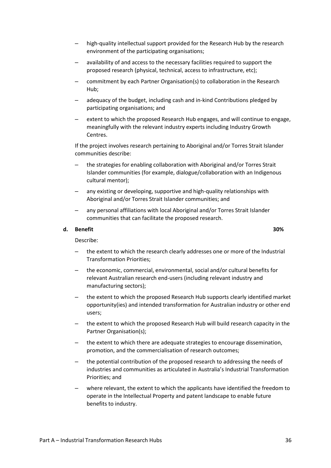- high-quality intellectual support provided for the Research Hub by the research environment of the participating organisations;
- availability of and access to the necessary facilities required to support the proposed research (physical, technical, access to infrastructure, etc);
- commitment by each Partner Organisation(s) to collaboration in the Research Hub;
- adequacy of the budget, including cash and in-kind Contributions pledged by participating organisations; and
- extent to which the proposed Research Hub engages, and will continue to engage, meaningfully with the relevant industry experts including Industry Growth Centres.

If the project involves research pertaining to Aboriginal and/or Torres Strait Islander communities describe:

- the strategies for enabling collaboration with Aboriginal and/or Torres Strait Islander communities (for example, dialogue/collaboration with an Indigenous cultural mentor);
- any existing or developing, supportive and high-quality relationships with Aboriginal and/or Torres Strait Islander communities; and
- any personal affiliations with local Aboriginal and/or Torres Strait Islander communities that can facilitate the proposed research.

#### **d. Benefit 30%**

Describe:

- the extent to which the research clearly addresses one or more of the Industrial Transformation Priorities;
- the economic, commercial, environmental, social and/or cultural benefits for relevant Australian research end-users (including relevant industry and manufacturing sectors);
- the extent to which the proposed Research Hub supports clearly identified market opportunity(ies) and intended transformation for Australian industry or other end users;
- the extent to which the proposed Research Hub will build research capacity in the Partner Organisation(s);
- the extent to which there are adequate strategies to encourage dissemination, promotion, and the commercialisation of research outcomes;
- the potential contribution of the proposed research to addressing the needs of industries and communities as articulated in Australia's Industrial Transformation Priorities; and
- where relevant, the extent to which the applicants have identified the freedom to operate in the Intellectual Property and patent landscape to enable future benefits to industry.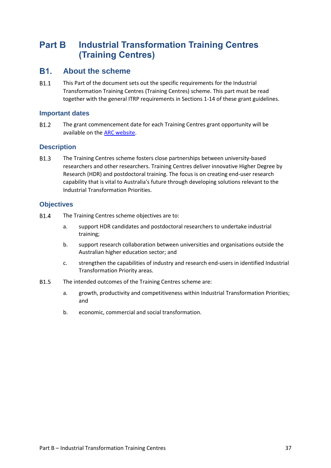#### <span id="page-36-0"></span>**Industrial Transformation Training Centres Part B (Training Centres)**

#### <span id="page-36-1"></span>**B1. About the scheme**

**B1.1** This Part of the document sets out the specific requirements for the Industrial Transformation Training Centres (Training Centres) scheme. This part must be read together with the general ITRP requirements in Sections 1-14 of these grant guidelines.

## <span id="page-36-2"></span>**Important dates**

B1.2 The grant commencement date for each Training Centres grant opportunity will be available on the [ARC website.](http://www.arc.gov.au/)

## <span id="page-36-3"></span>**Description**

**B1.3** The Training Centres scheme fosters close partnerships between university-based researchers and other researchers. Training Centres deliver innovative Higher Degree by Research (HDR) and postdoctoral training. The focus is on creating end-user research capability that is vital to Australia's future through developing solutions relevant to the Industrial Transformation Priorities.

## <span id="page-36-4"></span>**Objectives**

- **B1.4** The Training Centres scheme objectives are to:
	- a. support HDR candidates and postdoctoral researchers to undertake industrial training;
	- b. support research collaboration between universities and organisations outside the Australian higher education sector; and
	- c. strengthen the capabilities of industry and research end-users in identified Industrial Transformation Priority areas.
- **B1.5** The intended outcomes of the Training Centres scheme are:
	- a. growth, productivity and competitiveness within Industrial Transformation Priorities; and
	- b. economic, commercial and social transformation.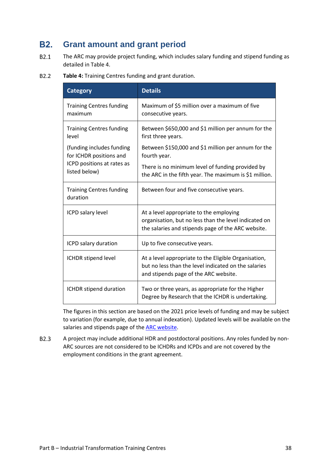#### <span id="page-37-0"></span>**B2. Grant amount and grant period**

- $B2.1$ The ARC may provide project funding, which includes salary funding and stipend funding as detailed in Table 4.
- B2.2 **Table 4:** Training Centres funding and grant duration.

| <b>Category</b>                                                                                     | <b>Details</b>                                                                                                                                         |
|-----------------------------------------------------------------------------------------------------|--------------------------------------------------------------------------------------------------------------------------------------------------------|
| <b>Training Centres funding</b><br>maximum                                                          | Maximum of \$5 million over a maximum of five<br>consecutive years.                                                                                    |
| <b>Training Centres funding</b><br>level                                                            | Between \$650,000 and \$1 million per annum for the<br>first three years.                                                                              |
| (funding includes funding<br>for ICHDR positions and<br>ICPD positions at rates as<br>listed below) | Between \$150,000 and \$1 million per annum for the<br>fourth year.                                                                                    |
|                                                                                                     | There is no minimum level of funding provided by<br>the ARC in the fifth year. The maximum is \$1 million.                                             |
| <b>Training Centres funding</b><br>duration                                                         | Between four and five consecutive years.                                                                                                               |
| ICPD salary level                                                                                   | At a level appropriate to the employing<br>organisation, but no less than the level indicated on<br>the salaries and stipends page of the ARC website. |
| ICPD salary duration                                                                                | Up to five consecutive years.                                                                                                                          |
| ICHDR stipend level                                                                                 | At a level appropriate to the Eligible Organisation,<br>but no less than the level indicated on the salaries<br>and stipends page of the ARC website.  |
| ICHDR stipend duration                                                                              | Two or three years, as appropriate for the Higher<br>Degree by Research that the ICHDR is undertaking.                                                 |

The figures in this section are based on the 2021 price levels of funding and may be subject to variation (for example, due to annual indexation). Updated levels will be available on the salaries and stipends page of the [ARC website.](http://www.arc.gov.au/)

 $B2.3$ A project may include additional HDR and postdoctoral positions. Any roles funded by non-ARC sources are not considered to be ICHDRs and ICPDs and are not covered by the employment conditions in the grant agreement.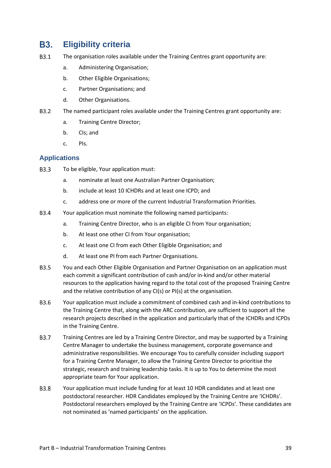#### <span id="page-38-0"></span>**B3. Eligibility criteria**

- **B3.1** The organisation roles available under the Training Centres grant opportunity are:
	- a. Administering Organisation;
	- b. Other Eligible Organisations;
	- c. Partner Organisations; and
	- d. Other Organisations.
- B<sub>3.2</sub> The named participant roles available under the Training Centres grant opportunity are:
	- a. Training Centre Director;
	- b. CIs; and
	- c. PIs.

## <span id="page-38-1"></span>**Applications**

- **B3.3** To be eligible, Your application must:
	- a. nominate at least one Australian Partner Organisation;
	- b. include at least 10 ICHDRs and at least one ICPD; and
	- c. address one or more of the current Industrial Transformation Priorities.
- **B3.4** Your application must nominate the following named participants:
	- a. Training Centre Director, who is an eligible CI from Your organisation;
	- b. At least one other CI from Your organisation;
	- c. At least one CI from each Other Eligible Organisation; and
	- d. At least one PI from each Partner Organisations.
- **B3.5** You and each Other Eligible Organisation and Partner Organisation on an application must each commit a significant contribution of cash and/or in-kind and/or other material resources to the application having regard to the total cost of the proposed Training Centre and the relative contribution of any CI(s) or PI(s) at the organisation.
- B<sub>3.6</sub> Your application must include a commitment of combined cash and in-kind contributions to the Training Centre that, along with the ARC contribution, are sufficient to support all the research projects described in the application and particularly that of the ICHDRs and ICPDs in the Training Centre.
- B<sub>3.7</sub> Training Centres are led by a Training Centre Director, and may be supported by a Training Centre Manager to undertake the business management, corporate governance and administrative responsibilities. We encourage You to carefully consider including support for a Training Centre Manager, to allow the Training Centre Director to prioritise the strategic, research and training leadership tasks. It is up to You to determine the most appropriate team for Your application.
- **B3.8** Your application must include funding for at least 10 HDR candidates and at least one postdoctoral researcher. HDR Candidates employed by the Training Centre are 'ICHDRs'. Postdoctoral researchers employed by the Training Centre are 'ICPDs'. These candidates are not nominated as 'named participants' on the application.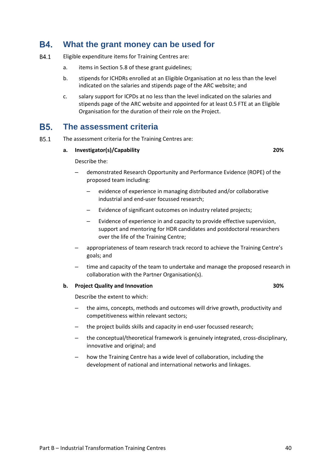#### <span id="page-39-0"></span>**B4 What the grant money can be used for**

- B4.1 Eligible expenditure items for Training Centres are:
	- a. items in Section 5.8 of these grant guidelines;
	- b. stipends for ICHDRs enrolled at an Eligible Organisation at no less than the level indicated on the salaries and stipends page of the ARC website; and
	- c. salary support for ICPDs at no less than the level indicated on the salaries and stipends page of the ARC website and appointed for at least 0.5 FTE at an Eligible Organisation for the duration of their role on the Project.

#### <span id="page-39-1"></span>**B5. The assessment criteria**

**B5.1** The assessment criteria for the Training Centres are:

#### **a. Investigator(s)/Capability 20%**

Describe the:

- demonstrated Research Opportunity and Performance Evidence (ROPE) of the proposed team including:
	- evidence of experience in managing distributed and/or collaborative industrial and end-user focussed research;
	- Evidence of significant outcomes on industry related projects;
	- Evidence of experience in and capacity to provide effective supervision, support and mentoring for HDR candidates and postdoctoral researchers over the life of the Training Centre;
- appropriateness of team research track record to achieve the Training Centre's goals; and
- time and capacity of the team to undertake and manage the proposed research in collaboration with the Partner Organisation(s).

#### **b. Project Quality and Innovation 30%**

Describe the extent to which:

- the aims, concepts, methods and outcomes will drive growth, productivity and competitiveness within relevant sectors;
- the project builds skills and capacity in end-user focussed research;
- the conceptual/theoretical framework is genuinely integrated, cross-disciplinary, innovative and original; and
- how the Training Centre has a wide level of collaboration, including the development of national and international networks and linkages.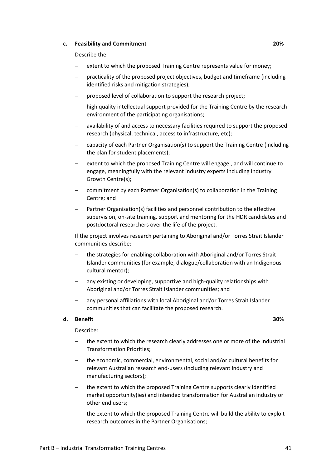#### **c. Feasibility and Commitment 20%**

Describe the:

- extent to which the proposed Training Centre represents value for money;
- practicality of the proposed project objectives, budget and timeframe (including identified risks and mitigation strategies);
- proposed level of collaboration to support the research project;
- high quality intellectual support provided for the Training Centre by the research environment of the participating organisations;
- availability of and access to necessary facilities required to support the proposed research (physical, technical, access to infrastructure, etc);
- capacity of each Partner Organisation(s) to support the Training Centre (including the plan for student placements);
- extent to which the proposed Training Centre will engage , and will continue to engage, meaningfully with the relevant industry experts including Industry Growth Centre(s);
- commitment by each Partner Organisation(s) to collaboration in the Training Centre; and
- Partner Organisation(s) facilities and personnel contribution to the effective supervision, on-site training, support and mentoring for the HDR candidates and postdoctoral researchers over the life of the project.

If the project involves research pertaining to Aboriginal and/or Torres Strait Islander communities describe:

- the strategies for enabling collaboration with Aboriginal and/or Torres Strait Islander communities (for example, dialogue/collaboration with an Indigenous cultural mentor);
- any existing or developing, supportive and high-quality relationships with Aboriginal and/or Torres Strait Islander communities; and
- any personal affiliations with local Aboriginal and/or Torres Strait Islander communities that can facilitate the proposed research.

#### **d. Benefit 30%**

Describe:

- the extent to which the research clearly addresses one or more of the Industrial Transformation Priorities;
- the economic, commercial, environmental, social and/or cultural benefits for relevant Australian research end-users (including relevant industry and manufacturing sectors);
- the extent to which the proposed Training Centre supports clearly identified market opportunity(ies) and intended transformation for Australian industry or other end users;
- the extent to which the proposed Training Centre will build the ability to exploit research outcomes in the Partner Organisations;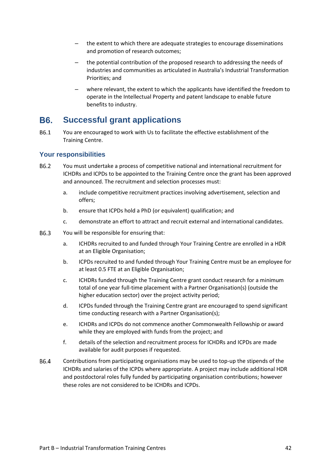- the extent to which there are adequate strategies to encourage disseminations and promotion of research outcomes;
- the potential contribution of the proposed research to addressing the needs of industries and communities as articulated in Australia's Industrial Transformation Priorities; and
- where relevant, the extent to which the applicants have identified the freedom to operate in the Intellectual Property and patent landscape to enable future benefits to industry.

#### <span id="page-41-0"></span>**B6. Successful grant applications**

B6.1 You are encouraged to work with Us to facilitate the effective establishment of the Training Centre.

## <span id="page-41-1"></span>**Your responsibilities**

- B6.2 You must undertake a process of competitive national and international recruitment for ICHDRs and ICPDs to be appointed to the Training Centre once the grant has been approved and announced. The recruitment and selection processes must:
	- a. include competitive recruitment practices involving advertisement, selection and offers;
	- b. ensure that ICPDs hold a PhD (or equivalent) qualification; and
	- c. demonstrate an effort to attract and recruit external and international candidates.
- B6.3 You will be responsible for ensuring that:
	- a. ICHDRs recruited to and funded through Your Training Centre are enrolled in a HDR at an Eligible Organisation;
	- b. ICPDs recruited to and funded through Your Training Centre must be an employee for at least 0.5 FTE at an Eligible Organisation;
	- c. ICHDRs funded through the Training Centre grant conduct research for a minimum total of one year full-time placement with a Partner Organisation(s) (outside the higher education sector) over the project activity period;
	- d. ICPDs funded through the Training Centre grant are encouraged to spend significant time conducting research with a Partner Organisation(s);
	- e. ICHDRs and ICPDs do not commence another Commonwealth Fellowship or award while they are employed with funds from the project; and
	- f. details of the selection and recruitment process for ICHDRs and ICPDs are made available for audit purposes if requested.
- B6.4 Contributions from participating organisations may be used to top-up the stipends of the ICHDRs and salaries of the ICPDs where appropriate. A project may include additional HDR and postdoctoral roles fully funded by participating organisation contributions; however these roles are not considered to be ICHDRs and ICPDs.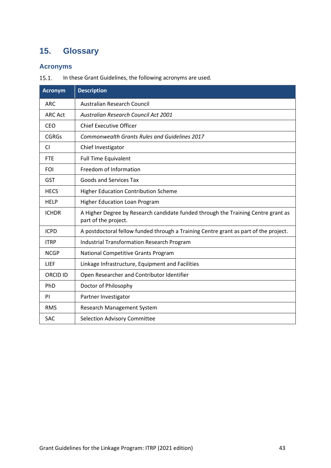# <span id="page-42-0"></span>**15. Glossary**

# <span id="page-42-1"></span>**Acronyms**

In these Grant Guidelines, the following acronyms are used.  $15.1.$ 

| <b>Acronym</b>  | <b>Description</b>                                                                                        |
|-----------------|-----------------------------------------------------------------------------------------------------------|
| <b>ARC</b>      | Australian Research Council                                                                               |
| <b>ARC Act</b>  | <b>Australian Research Council Act 2001</b>                                                               |
| <b>CEO</b>      | <b>Chief Executive Officer</b>                                                                            |
| <b>CGRGs</b>    | Commonwealth Grants Rules and Guidelines 2017                                                             |
| <b>CI</b>       | Chief Investigator                                                                                        |
| <b>FTE</b>      | <b>Full Time Equivalent</b>                                                                               |
| <b>FOI</b>      | Freedom of Information                                                                                    |
| <b>GST</b>      | <b>Goods and Services Tax</b>                                                                             |
| <b>HECS</b>     | Higher Education Contribution Scheme                                                                      |
| <b>HELP</b>     | <b>Higher Education Loan Program</b>                                                                      |
| <b>ICHDR</b>    | A Higher Degree by Research candidate funded through the Training Centre grant as<br>part of the project. |
| <b>ICPD</b>     | A postdoctoral fellow funded through a Training Centre grant as part of the project.                      |
| <b>ITRP</b>     | <b>Industrial Transformation Research Program</b>                                                         |
| <b>NCGP</b>     | National Competitive Grants Program                                                                       |
| LIEF            | Linkage Infrastructure, Equipment and Facilities                                                          |
| <b>ORCID ID</b> | Open Researcher and Contributor Identifier                                                                |
| PhD             | Doctor of Philosophy                                                                                      |
| PI              | Partner Investigator                                                                                      |
| <b>RMS</b>      | Research Management System                                                                                |
| <b>SAC</b>      | <b>Selection Advisory Committee</b>                                                                       |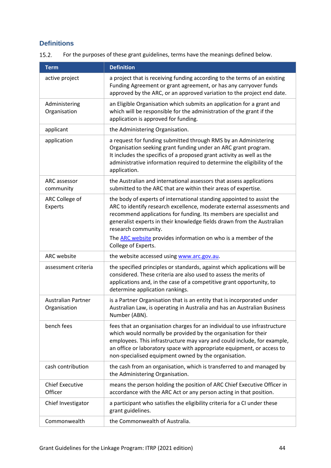## <span id="page-43-0"></span>**Definitions**

 $15.2.$ For the purposes of these grant guidelines, terms have the meanings defined below.

| <b>Term</b>                               | <b>Definition</b>                                                                                                                                                                                                                                                                                                                                                                                                      |
|-------------------------------------------|------------------------------------------------------------------------------------------------------------------------------------------------------------------------------------------------------------------------------------------------------------------------------------------------------------------------------------------------------------------------------------------------------------------------|
| active project                            | a project that is receiving funding according to the terms of an existing<br>Funding Agreement or grant agreement, or has any carryover funds<br>approved by the ARC, or an approved variation to the project end date.                                                                                                                                                                                                |
| Administering<br>Organisation             | an Eligible Organisation which submits an application for a grant and<br>which will be responsible for the administration of the grant if the<br>application is approved for funding.                                                                                                                                                                                                                                  |
| applicant                                 | the Administering Organisation.                                                                                                                                                                                                                                                                                                                                                                                        |
| application                               | a request for funding submitted through RMS by an Administering<br>Organisation seeking grant funding under an ARC grant program.<br>It includes the specifics of a proposed grant activity as well as the<br>administrative information required to determine the eligibility of the<br>application.                                                                                                                  |
| ARC assessor<br>community                 | the Australian and international assessors that assess applications<br>submitted to the ARC that are within their areas of expertise.                                                                                                                                                                                                                                                                                  |
| ARC College of<br>Experts                 | the body of experts of international standing appointed to assist the<br>ARC to identify research excellence, moderate external assessments and<br>recommend applications for funding. Its members are specialist and<br>generalist experts in their knowledge fields drawn from the Australian<br>research community.<br>The <b>ARC</b> website provides information on who is a member of the<br>College of Experts. |
| <b>ARC</b> website                        | the website accessed using www.arc.gov.au.                                                                                                                                                                                                                                                                                                                                                                             |
| assessment criteria                       | the specified principles or standards, against which applications will be<br>considered. These criteria are also used to assess the merits of<br>applications and, in the case of a competitive grant opportunity, to<br>determine application rankings.                                                                                                                                                               |
| <b>Australian Partner</b><br>Organisation | is a Partner Organisation that is an entity that is incorporated under<br>Australian Law, is operating in Australia and has an Australian Business<br>Number (ABN).                                                                                                                                                                                                                                                    |
| bench fees                                | fees that an organisation charges for an individual to use infrastructure<br>which would normally be provided by the organisation for their<br>employees. This infrastructure may vary and could include, for example,<br>an office or laboratory space with appropriate equipment, or access to<br>non-specialised equipment owned by the organisation.                                                               |
| cash contribution                         | the cash from an organisation, which is transferred to and managed by<br>the Administering Organisation.                                                                                                                                                                                                                                                                                                               |
| <b>Chief Executive</b><br>Officer         | means the person holding the position of ARC Chief Executive Officer in<br>accordance with the ARC Act or any person acting in that position.                                                                                                                                                                                                                                                                          |
| Chief Investigator                        | a participant who satisfies the eligibility criteria for a CI under these<br>grant guidelines.                                                                                                                                                                                                                                                                                                                         |
| Commonwealth                              | the Commonwealth of Australia.                                                                                                                                                                                                                                                                                                                                                                                         |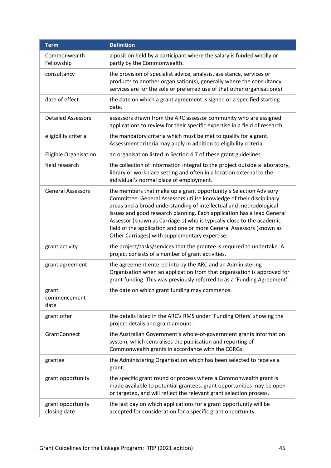| <b>Term</b>                       | <b>Definition</b>                                                                                                                                                                                                                                                                                                                                                                                                                                                                            |
|-----------------------------------|----------------------------------------------------------------------------------------------------------------------------------------------------------------------------------------------------------------------------------------------------------------------------------------------------------------------------------------------------------------------------------------------------------------------------------------------------------------------------------------------|
| Commonwealth<br>Fellowship        | a position held by a participant where the salary is funded wholly or<br>partly by the Commonwealth.                                                                                                                                                                                                                                                                                                                                                                                         |
| consultancy                       | the provision of specialist advice, analysis, assistance, services or<br>products to another organisation(s), generally where the consultancy<br>services are for the sole or preferred use of that other organisation(s).                                                                                                                                                                                                                                                                   |
| date of effect                    | the date on which a grant agreement is signed or a specified starting<br>date.                                                                                                                                                                                                                                                                                                                                                                                                               |
| <b>Detailed Assessors</b>         | assessors drawn from the ARC assessor community who are assigned<br>applications to review for their specific expertise in a field of research.                                                                                                                                                                                                                                                                                                                                              |
| eligibility criteria              | the mandatory criteria which must be met to qualify for a grant.<br>Assessment criteria may apply in addition to eligibility criteria.                                                                                                                                                                                                                                                                                                                                                       |
| Eligible Organisation             | an organisation listed in Section 4.7 of these grant guidelines.                                                                                                                                                                                                                                                                                                                                                                                                                             |
| field research                    | the collection of information integral to the project outside a laboratory,<br>library or workplace setting and often in a location external to the<br>individual's normal place of employment.                                                                                                                                                                                                                                                                                              |
| <b>General Assessors</b>          | the members that make up a grant opportunity's Selection Advisory<br>Committee. General Assessors utilise knowledge of their disciplinary<br>areas and a broad understanding of intellectual and methodological<br>issues and good research planning. Each application has a lead General<br>Assessor (known as Carriage 1) who is typically close to the academic<br>field of the application and one or more General Assessors (known as<br>Other Carriages) with supplementary expertise. |
| grant activity                    | the project/tasks/services that the grantee is required to undertake. A<br>project consists of a number of grant activities.                                                                                                                                                                                                                                                                                                                                                                 |
| grant agreement                   | the agreement entered into by the ARC and an Administering<br>Organisation when an application from that organisation is approved for<br>grant funding. This was previously referred to as a 'Funding Agreement'.                                                                                                                                                                                                                                                                            |
| grant<br>commencement<br>date     | the date on which grant funding may commence.                                                                                                                                                                                                                                                                                                                                                                                                                                                |
| grant offer                       | the details listed in the ARC's RMS under 'Funding Offers' showing the<br>project details and grant amount.                                                                                                                                                                                                                                                                                                                                                                                  |
| GrantConnect                      | the Australian Government's whole-of-government grants information<br>system, which centralises the publication and reporting of<br>Commonwealth grants in accordance with the CGRGs.                                                                                                                                                                                                                                                                                                        |
| grantee                           | the Administering Organisation which has been selected to receive a<br>grant.                                                                                                                                                                                                                                                                                                                                                                                                                |
| grant opportunity                 | the specific grant round or process where a Commonwealth grant is<br>made available to potential grantees. grant opportunities may be open<br>or targeted, and will reflect the relevant grant selection process.                                                                                                                                                                                                                                                                            |
| grant opportunity<br>closing date | the last day on which applications for a grant opportunity will be<br>accepted for consideration for a specific grant opportunity.                                                                                                                                                                                                                                                                                                                                                           |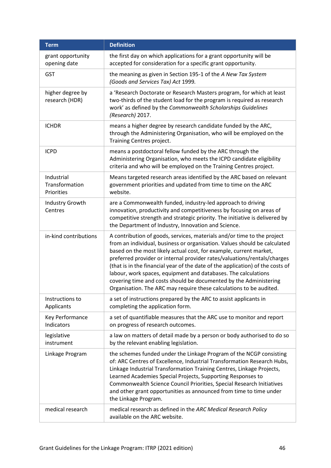| <b>Term</b>                                | <b>Definition</b>                                                                                                                                                                                                                                                                                                                                                                                                                                                                                                                                                                                      |
|--------------------------------------------|--------------------------------------------------------------------------------------------------------------------------------------------------------------------------------------------------------------------------------------------------------------------------------------------------------------------------------------------------------------------------------------------------------------------------------------------------------------------------------------------------------------------------------------------------------------------------------------------------------|
| grant opportunity<br>opening date          | the first day on which applications for a grant opportunity will be<br>accepted for consideration for a specific grant opportunity.                                                                                                                                                                                                                                                                                                                                                                                                                                                                    |
| <b>GST</b>                                 | the meaning as given in Section 195-1 of the A New Tax System<br>(Goods and Services Tax) Act 1999.                                                                                                                                                                                                                                                                                                                                                                                                                                                                                                    |
| higher degree by<br>research (HDR)         | a 'Research Doctorate or Research Masters program, for which at least<br>two-thirds of the student load for the program is required as research<br>work' as defined by the Commonwealth Scholarships Guidelines<br>(Research) 2017.                                                                                                                                                                                                                                                                                                                                                                    |
| <b>ICHDR</b>                               | means a higher degree by research candidate funded by the ARC,<br>through the Administering Organisation, who will be employed on the<br>Training Centres project.                                                                                                                                                                                                                                                                                                                                                                                                                                     |
| <b>ICPD</b>                                | means a postdoctoral fellow funded by the ARC through the<br>Administering Organisation, who meets the ICPD candidate eligibility<br>criteria and who will be employed on the Training Centres project.                                                                                                                                                                                                                                                                                                                                                                                                |
| Industrial<br>Transformation<br>Priorities | Means targeted research areas identified by the ARC based on relevant<br>government priorities and updated from time to time on the ARC<br>website.                                                                                                                                                                                                                                                                                                                                                                                                                                                    |
| Industry Growth<br>Centres                 | are a Commonwealth funded, industry-led approach to driving<br>innovation, productivity and competitiveness by focusing on areas of<br>competitive strength and strategic priority. The initiative is delivered by<br>the Department of Industry, Innovation and Science.                                                                                                                                                                                                                                                                                                                              |
| in-kind contributions                      | A contribution of goods, services, materials and/or time to the project<br>from an individual, business or organisation. Values should be calculated<br>based on the most likely actual cost, for example, current market,<br>preferred provider or internal provider rates/valuations/rentals/charges<br>(that is in the financial year of the date of the application) of the costs of<br>labour, work spaces, equipment and databases. The calculations<br>covering time and costs should be documented by the Administering<br>Organisation. The ARC may require these calculations to be audited. |
| Instructions to<br>Applicants              | a set of instructions prepared by the ARC to assist applicants in<br>completing the application form.                                                                                                                                                                                                                                                                                                                                                                                                                                                                                                  |
| Key Performance<br>Indicators              | a set of quantifiable measures that the ARC use to monitor and report<br>on progress of research outcomes.                                                                                                                                                                                                                                                                                                                                                                                                                                                                                             |
| legislative<br>instrument                  | a law on matters of detail made by a person or body authorised to do so<br>by the relevant enabling legislation.                                                                                                                                                                                                                                                                                                                                                                                                                                                                                       |
| Linkage Program                            | the schemes funded under the Linkage Program of the NCGP consisting<br>of: ARC Centres of Excellence, Industrial Transformation Research Hubs,<br>Linkage Industrial Transformation Training Centres, Linkage Projects,<br>Learned Academies Special Projects, Supporting Responses to<br>Commonwealth Science Council Priorities, Special Research Initiatives<br>and other grant opportunities as announced from time to time under<br>the Linkage Program.                                                                                                                                          |
| medical research                           | medical research as defined in the ARC Medical Research Policy<br>available on the ARC website.                                                                                                                                                                                                                                                                                                                                                                                                                                                                                                        |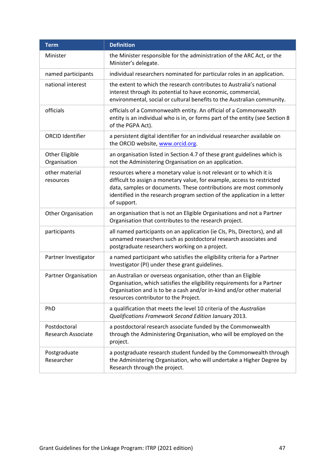| <b>Term</b>                               | <b>Definition</b>                                                                                                                                                                                                                                                                                              |
|-------------------------------------------|----------------------------------------------------------------------------------------------------------------------------------------------------------------------------------------------------------------------------------------------------------------------------------------------------------------|
| Minister                                  | the Minister responsible for the administration of the ARC Act, or the<br>Minister's delegate.                                                                                                                                                                                                                 |
| named participants                        | individual researchers nominated for particular roles in an application.                                                                                                                                                                                                                                       |
| national interest                         | the extent to which the research contributes to Australia's national<br>interest through its potential to have economic, commercial,<br>environmental, social or cultural benefits to the Australian community.                                                                                                |
| officials                                 | officials of a Commonwealth entity. An official of a Commonwealth<br>entity is an individual who is in, or forms part of the entity (see Section 8<br>of the PGPA Act).                                                                                                                                        |
| <b>ORCID Identifier</b>                   | a persistent digital identifier for an individual researcher available on<br>the ORCID website, www.orcid.org.                                                                                                                                                                                                 |
| Other Eligible<br>Organisation            | an organisation listed in Section 4.7 of these grant guidelines which is<br>not the Administering Organisation on an application.                                                                                                                                                                              |
| other material<br>resources               | resources where a monetary value is not relevant or to which it is<br>difficult to assign a monetary value, for example, access to restricted<br>data, samples or documents. These contributions are most commonly<br>identified in the research program section of the application in a letter<br>of support. |
| Other Organisation                        | an organisation that is not an Eligible Organisations and not a Partner<br>Organisation that contributes to the research project.                                                                                                                                                                              |
| participants                              | all named participants on an application (ie CIs, PIs, Directors), and all<br>unnamed researchers such as postdoctoral research associates and<br>postgraduate researchers working on a project.                                                                                                               |
| Partner Investigator                      | a named participant who satisfies the eligibility criteria for a Partner<br>Investigator (PI) under these grant guidelines.                                                                                                                                                                                    |
| Partner Organisation                      | an Australian or overseas organisation, other than an Eligible<br>Organisation, which satisfies the eligibility requirements for a Partner<br>Organisation and is to be a cash and/or in-kind and/or other material<br>resources contributor to the Project.                                                   |
| PhD                                       | a qualification that meets the level 10 criteria of the Australian<br>Qualifications Framework Second Edition January 2013.                                                                                                                                                                                    |
| Postdoctoral<br><b>Research Associate</b> | a postdoctoral research associate funded by the Commonwealth<br>through the Administering Organisation, who will be employed on the<br>project.                                                                                                                                                                |
| Postgraduate<br>Researcher                | a postgraduate research student funded by the Commonwealth through<br>the Administering Organisation, who will undertake a Higher Degree by<br>Research through the project.                                                                                                                                   |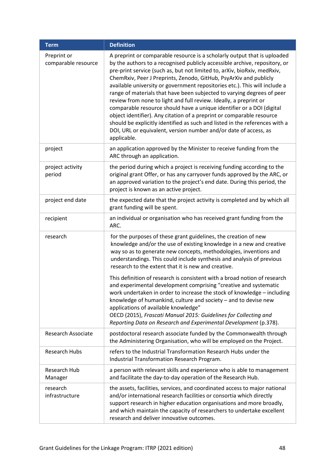| <b>Term</b>                        | <b>Definition</b>                                                                                                                                                                                                                                                                                                                                                                                                                                                                                                                                                                                                                                                                                                                                                                                                                                        |
|------------------------------------|----------------------------------------------------------------------------------------------------------------------------------------------------------------------------------------------------------------------------------------------------------------------------------------------------------------------------------------------------------------------------------------------------------------------------------------------------------------------------------------------------------------------------------------------------------------------------------------------------------------------------------------------------------------------------------------------------------------------------------------------------------------------------------------------------------------------------------------------------------|
| Preprint or<br>comparable resource | A preprint or comparable resource is a scholarly output that is uploaded<br>by the authors to a recognised publicly accessible archive, repository, or<br>pre-print service (such as, but not limited to, arXiv, bioRxiv, medRxiv,<br>ChemRxiv, Peer J Preprints, Zenodo, GitHub, PsyArXiv and publicly<br>available university or government repositories etc.). This will include a<br>range of materials that have been subjected to varying degrees of peer<br>review from none to light and full review. Ideally, a preprint or<br>comparable resource should have a unique identifier or a DOI (digital<br>object identifier). Any citation of a preprint or comparable resource<br>should be explicitly identified as such and listed in the references with a<br>DOI, URL or equivalent, version number and/or date of access, as<br>applicable. |
| project                            | an application approved by the Minister to receive funding from the<br>ARC through an application.                                                                                                                                                                                                                                                                                                                                                                                                                                                                                                                                                                                                                                                                                                                                                       |
| project activity<br>period         | the period during which a project is receiving funding according to the<br>original grant Offer, or has any carryover funds approved by the ARC, or<br>an approved variation to the project's end date. During this period, the<br>project is known as an active project.                                                                                                                                                                                                                                                                                                                                                                                                                                                                                                                                                                                |
| project end date                   | the expected date that the project activity is completed and by which all<br>grant funding will be spent.                                                                                                                                                                                                                                                                                                                                                                                                                                                                                                                                                                                                                                                                                                                                                |
| recipient                          | an individual or organisation who has received grant funding from the<br>ARC.                                                                                                                                                                                                                                                                                                                                                                                                                                                                                                                                                                                                                                                                                                                                                                            |
| research                           | for the purposes of these grant guidelines, the creation of new<br>knowledge and/or the use of existing knowledge in a new and creative<br>way so as to generate new concepts, methodologies, inventions and<br>understandings. This could include synthesis and analysis of previous<br>research to the extent that it is new and creative.                                                                                                                                                                                                                                                                                                                                                                                                                                                                                                             |
|                                    | This definition of research is consistent with a broad notion of research<br>and experimental development comprising "creative and systematic<br>work undertaken in order to increase the stock of knowledge - including<br>knowledge of humankind, culture and society - and to devise new<br>applications of available knowledge"<br>OECD (2015), Frascati Manual 2015: Guidelines for Collecting and<br>Reporting Data on Research and Experimental Development (p.378).                                                                                                                                                                                                                                                                                                                                                                              |
| <b>Research Associate</b>          | postdoctoral research associate funded by the Commonwealth through<br>the Administering Organisation, who will be employed on the Project.                                                                                                                                                                                                                                                                                                                                                                                                                                                                                                                                                                                                                                                                                                               |
| <b>Research Hubs</b>               | refers to the Industrial Transformation Research Hubs under the<br>Industrial Transformation Research Program.                                                                                                                                                                                                                                                                                                                                                                                                                                                                                                                                                                                                                                                                                                                                           |
| <b>Research Hub</b><br>Manager     | a person with relevant skills and experience who is able to management<br>and facilitate the day-to-day operation of the Research Hub.                                                                                                                                                                                                                                                                                                                                                                                                                                                                                                                                                                                                                                                                                                                   |
| research<br>infrastructure         | the assets, facilities, services, and coordinated access to major national<br>and/or international research facilities or consortia which directly<br>support research in higher education organisations and more broadly,<br>and which maintain the capacity of researchers to undertake excellent<br>research and deliver innovative outcomes.                                                                                                                                                                                                                                                                                                                                                                                                                                                                                                         |